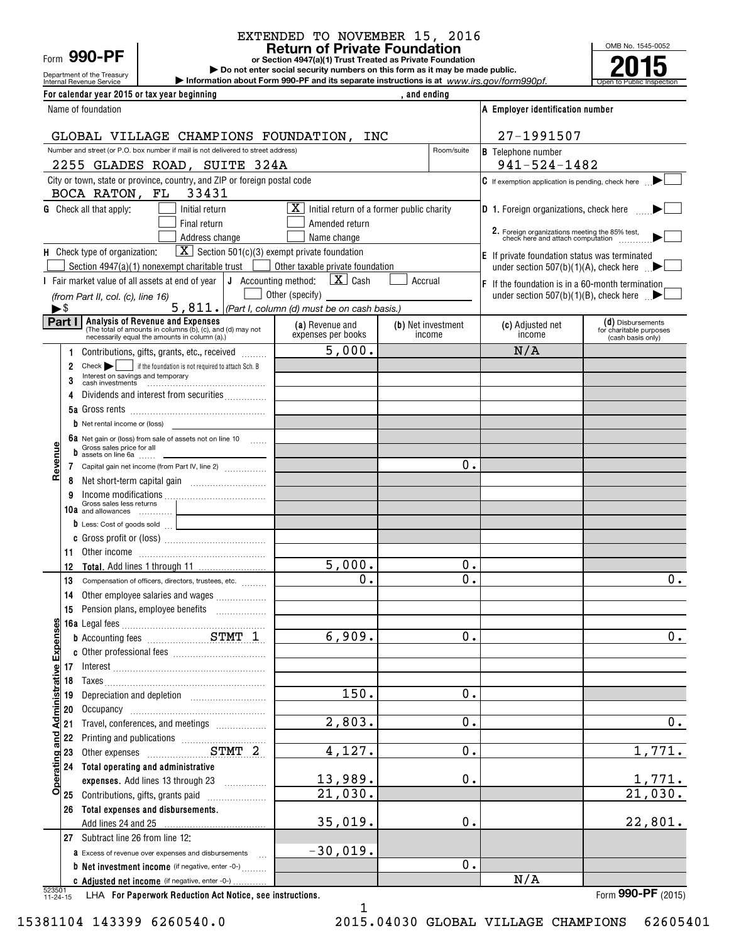|      | 990-l |  |  |
|------|-------|--|--|
| Form |       |  |  |

#### EXTENDED TO NOVEMBER 15, 2016 EXTENDED TO NOVEMBER 15, 2016

**Return of Private Foundation Return of Private Foundation** Form **990-PF I COLOGIST <b>PRIVALE FOUNDATION** or Section 4947(a)(1) Trust Treated as Private Foundation **2015** n t o P u <u>blic</u> I nspec<sup>t</sup> **2015**

| Department of the Treasury<br>Internal Revenue Service                                                                        |                                                                   | Do not enter social security numbers on this form as it may be made public.<br>Information about Form 990-PF and its separate instructions is at www.irs.gov/form990pf. |                    |                                                                                     |                                              |
|-------------------------------------------------------------------------------------------------------------------------------|-------------------------------------------------------------------|-------------------------------------------------------------------------------------------------------------------------------------------------------------------------|--------------------|-------------------------------------------------------------------------------------|----------------------------------------------|
| For calendar year 2015 or tax year beginning                                                                                  |                                                                   |                                                                                                                                                                         | , and ending       |                                                                                     |                                              |
| Name of foundation                                                                                                            |                                                                   |                                                                                                                                                                         |                    | A Employer identification number                                                    |                                              |
|                                                                                                                               |                                                                   |                                                                                                                                                                         |                    | 27-1991507                                                                          |                                              |
| GLOBAL VILLAGE CHAMPIONS FOUNDATION, INC<br>Number and street (or P.O. box number if mail is not delivered to street address) |                                                                   |                                                                                                                                                                         | Room/suite         | <b>B</b> Telephone number                                                           |                                              |
| 2255 GLADES ROAD, SUITE 324A                                                                                                  |                                                                   |                                                                                                                                                                         |                    | $941 - 524 - 1482$                                                                  |                                              |
| City or town, state or province, country, and ZIP or foreign postal code                                                      |                                                                   |                                                                                                                                                                         |                    | $\mathbf C$ If exemption application is pending, check here $\blacktriangleright$   |                                              |
| BOCA RATON, FL 33431                                                                                                          |                                                                   |                                                                                                                                                                         |                    |                                                                                     |                                              |
| <b>G</b> Check all that apply:                                                                                                | Initial return                                                    | $\boxed{\mathbf{X}}$ Initial return of a former public charity                                                                                                          |                    | <b>D</b> 1. Foreign organizations, check here <b>there</b>                          |                                              |
|                                                                                                                               | Final return                                                      | Amended return                                                                                                                                                          |                    |                                                                                     |                                              |
|                                                                                                                               | Address change                                                    | Name change                                                                                                                                                             |                    | 2. Foreign organizations meeting the 85% test,<br>check here and attach computation |                                              |
| H Check type of organization:                                                                                                 | $\boxed{\mathbf{X}}$ Section 501(c)(3) exempt private foundation  |                                                                                                                                                                         |                    | E If private foundation status was terminated                                       |                                              |
| Section 4947(a)(1) nonexempt charitable trust                                                                                 |                                                                   | Other taxable private foundation                                                                                                                                        |                    | under section 507(b)(1)(A), check here $\Box$                                       |                                              |
| I Fair market value of all assets at end of year $\vert J \vert$ Accounting method:                                           |                                                                   | $\vert X \vert$ Cash<br>Other (specify)                                                                                                                                 | Accrual            | $ F $ If the foundation is in a 60-month termination                                |                                              |
| (from Part II, col. (c), line 16)<br>►\$                                                                                      |                                                                   | 5, 811.   (Part I, column (d) must be on cash basis.)                                                                                                                   |                    | under section 507(b)(1)(B), check here $\Box$                                       |                                              |
| Analysis of Revenue and Expenses<br>Part I                                                                                    |                                                                   | (a) Revenue and                                                                                                                                                         | (b) Net investment | (c) Adjusted net                                                                    | (d) Disbursements                            |
| necessarily equal the amounts in column (a).)                                                                                 | (The total of amounts in columns (b), (c), and (d) may not        | expenses per books                                                                                                                                                      | income             | income                                                                              | for charitable purposes<br>(cash basis only) |
| 1.                                                                                                                            | Contributions, gifts, grants, etc., received                      | $\overline{5}$ ,000.                                                                                                                                                    |                    | N/A                                                                                 |                                              |
| $Check \rightarrow$<br>$\overline{2}$                                                                                         | if the foundation is not required to attach Sch. B                |                                                                                                                                                                         |                    |                                                                                     |                                              |
| Interest on savings and temporary                                                                                             |                                                                   |                                                                                                                                                                         |                    |                                                                                     |                                              |
|                                                                                                                               | Dividends and interest from securities                            |                                                                                                                                                                         |                    |                                                                                     |                                              |
| <b>b</b> Net rental income or (loss)                                                                                          |                                                                   |                                                                                                                                                                         |                    |                                                                                     |                                              |
| 6a Net gain or (loss) from sale of assets not on line 10                                                                      |                                                                   |                                                                                                                                                                         |                    |                                                                                     |                                              |
| Gross sales price for all<br>$\frac{1}{2}$ assets on line 6a                                                                  |                                                                   |                                                                                                                                                                         |                    |                                                                                     |                                              |
| evenu<br>7 Capital gain net income (from Part IV, line 2)                                                                     |                                                                   |                                                                                                                                                                         | 0.                 |                                                                                     |                                              |
| œ<br>8                                                                                                                        |                                                                   |                                                                                                                                                                         |                    |                                                                                     |                                              |
| 9<br>Gross sales less returns                                                                                                 |                                                                   |                                                                                                                                                                         |                    |                                                                                     |                                              |
| 10a and allowances                                                                                                            |                                                                   |                                                                                                                                                                         |                    |                                                                                     |                                              |
|                                                                                                                               | $\bullet$ Less: Cost of goods sold $\qquad \qquad \qquad$         |                                                                                                                                                                         |                    |                                                                                     |                                              |
|                                                                                                                               |                                                                   |                                                                                                                                                                         |                    |                                                                                     |                                              |
| 12                                                                                                                            |                                                                   | $\overline{5}$ ,000.                                                                                                                                                    | 0.                 |                                                                                     |                                              |
| 13 Compensation of officers, directors, trustees, etc.                                                                        |                                                                   | 0.                                                                                                                                                                      | $\overline{0}$ .   |                                                                                     | 0.                                           |
| 14                                                                                                                            | Other employee salaries and wages                                 |                                                                                                                                                                         |                    |                                                                                     |                                              |
| 15 Pension plans, employee benefits                                                                                           |                                                                   |                                                                                                                                                                         |                    |                                                                                     |                                              |
|                                                                                                                               |                                                                   |                                                                                                                                                                         |                    |                                                                                     |                                              |
| <b>Expenses</b>                                                                                                               |                                                                   | 6,909.                                                                                                                                                                  | 0.                 |                                                                                     | 0.                                           |
|                                                                                                                               |                                                                   |                                                                                                                                                                         |                    |                                                                                     |                                              |
| ative                                                                                                                         |                                                                   |                                                                                                                                                                         |                    |                                                                                     |                                              |
| 18<br>19                                                                                                                      | Depreciation and depletion [11] [11] Depreciation and depletion   | 150.                                                                                                                                                                    | $0$ .              |                                                                                     |                                              |
| 20                                                                                                                            |                                                                   |                                                                                                                                                                         |                    |                                                                                     |                                              |
| Administr<br>21                                                                                                               | Travel, conferences, and meetings                                 | 2,803.                                                                                                                                                                  | $0$ .              |                                                                                     | 0.                                           |
| and<br>22                                                                                                                     |                                                                   |                                                                                                                                                                         |                    |                                                                                     |                                              |
| 23                                                                                                                            |                                                                   | 4,127.                                                                                                                                                                  | $0$ .              |                                                                                     | 1,771.                                       |
| 24 Total operating and administrative                                                                                         |                                                                   |                                                                                                                                                                         |                    |                                                                                     |                                              |
| Operating                                                                                                                     | expenses. Add lines 13 through 23                                 | 13,989.                                                                                                                                                                 | $0$ .              |                                                                                     | <u>1,771.</u>                                |
| 25 Contributions, gifts, grants paid                                                                                          |                                                                   | 21,030.                                                                                                                                                                 |                    |                                                                                     | $\overline{21,030}$ .                        |
| Total expenses and disbursements.<br>26                                                                                       |                                                                   |                                                                                                                                                                         | 0.                 |                                                                                     |                                              |
| 27 Subtract line 26 from line 12:                                                                                             |                                                                   | 35,019.                                                                                                                                                                 |                    |                                                                                     | 22,801.                                      |
| a Excess of revenue over expenses and disbursements                                                                           |                                                                   | $-30,019.$                                                                                                                                                              |                    |                                                                                     |                                              |
|                                                                                                                               | $\sim$<br><b>b</b> Net investment income (if negative, enter -0-) |                                                                                                                                                                         | 0.                 |                                                                                     |                                              |
|                                                                                                                               | c Adjusted net income (if negative, enter -0-)                    |                                                                                                                                                                         |                    | N/A                                                                                 |                                              |

1 1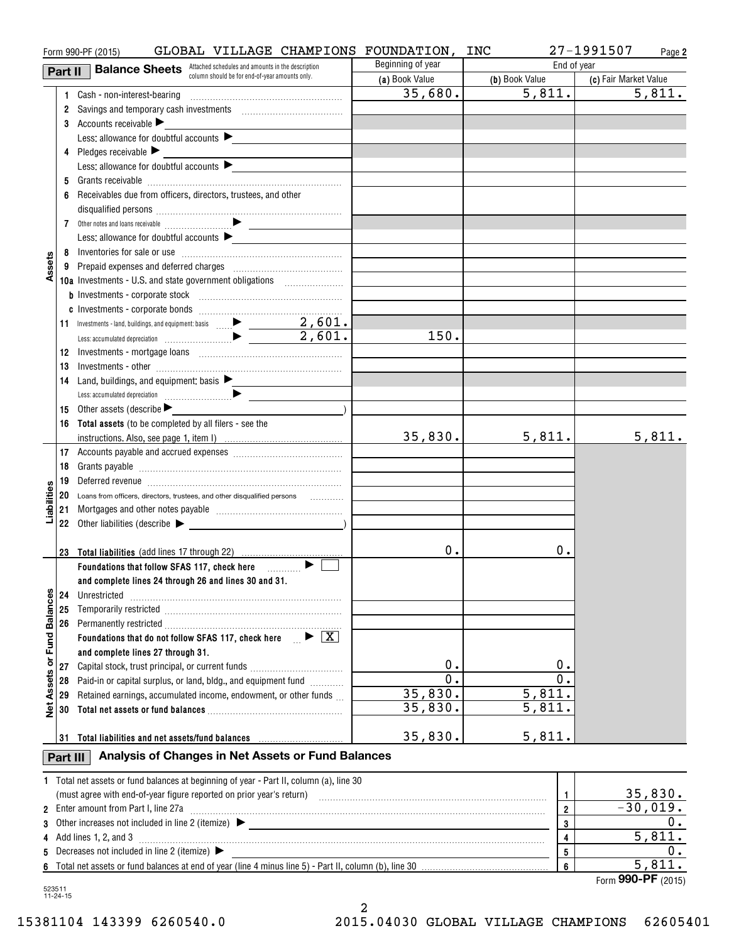|                      |          | GLOBAL VILLAGE CHAMPIONS FOUNDATION,<br>Form 990-PF (2015)                                |                   | INC                     | 27-1991507<br>Page 2  |
|----------------------|----------|-------------------------------------------------------------------------------------------|-------------------|-------------------------|-----------------------|
|                      | Part II  | <b>Balance Sheets</b> Attached schedules and amounts in the description                   | Beginning of year | End of year             |                       |
|                      |          | column should be for end-of-year amounts only.                                            | (a) Book Value    | (b) Book Value          | (c) Fair Market Value |
|                      |          |                                                                                           | 35,680.           | 5,811.                  | 5,811.                |
|                      |          | 2 Savings and temporary cash investments [111][11] Savings and temporary cash investments |                   |                         |                       |
|                      |          | 3 Accounts receivable                                                                     |                   |                         |                       |
|                      |          | Less: allowance for doubtful accounts $\blacktriangleright$                               |                   |                         |                       |
|                      |          | 4 Pledges receivable                                                                      |                   |                         |                       |
|                      |          | Less: allowance for doubtful accounts                                                     |                   |                         |                       |
|                      |          |                                                                                           |                   |                         |                       |
|                      |          | Receivables due from officers, directors, trustees, and other                             |                   |                         |                       |
|                      |          |                                                                                           |                   |                         |                       |
|                      |          |                                                                                           |                   |                         |                       |
|                      |          | Less: allowance for doubtful accounts                                                     |                   |                         |                       |
|                      |          |                                                                                           |                   |                         |                       |
| Assets               |          |                                                                                           |                   |                         |                       |
|                      |          | 10a Investments - U.S. and state government obligations [                                 |                   |                         |                       |
|                      |          |                                                                                           |                   |                         |                       |
|                      |          |                                                                                           |                   |                         |                       |
|                      |          |                                                                                           |                   |                         |                       |
|                      |          |                                                                                           | 150.              |                         |                       |
|                      |          |                                                                                           |                   |                         |                       |
|                      |          |                                                                                           |                   |                         |                       |
|                      | 13       | 14 Land, buildings, and equipment: basis                                                  |                   |                         |                       |
|                      |          |                                                                                           |                   |                         |                       |
|                      |          |                                                                                           |                   |                         |                       |
|                      |          | 15 Other assets (describe $\blacktriangleright$                                           |                   |                         |                       |
|                      |          | 16 Total assets (to be completed by all filers - see the                                  | 35,830.           | 5,811.                  | 5,811.                |
|                      |          |                                                                                           |                   |                         |                       |
|                      | 18       |                                                                                           |                   |                         |                       |
|                      |          |                                                                                           |                   |                         |                       |
| Liabilities          |          | 20 Loans from officers, directors, trustees, and other disqualified persons               |                   |                         |                       |
|                      |          |                                                                                           |                   |                         |                       |
|                      |          | 22 Other liabilities (describe $\blacktriangleright$                                      |                   |                         |                       |
|                      |          |                                                                                           |                   |                         |                       |
|                      |          | 23 Total liabilities (add lines 17 through 22)                                            | 0.                | 0.                      |                       |
|                      |          | Foundations that follow SFAS 117, check here <b>Fig.</b> P                                |                   |                         |                       |
|                      |          | and complete lines 24 through 26 and lines 30 and 31.                                     |                   |                         |                       |
|                      | 24       |                                                                                           |                   |                         |                       |
|                      | 25       |                                                                                           |                   |                         |                       |
| <b>Fund Balances</b> |          |                                                                                           |                   |                         |                       |
|                      |          | Foundations that do not follow SFAS 117, check here $\Box$ $\blacktriangleright$ $\Box$   |                   |                         |                       |
|                      |          | and complete lines 27 through 31.                                                         |                   |                         |                       |
| ŏ                    | 27       | Capital stock, trust principal, or current funds                                          | 0.                | 0.                      |                       |
| Assets               | 28       | Paid-in or capital surplus, or land, bldg., and equipment fund                            | $\overline{0}$ .  | 0.                      |                       |
|                      | 29       | Retained earnings, accumulated income, endowment, or other funds                          | 35,830.           | 5,811.                  |                       |
| $\frac{d}{dx}$       | 30       |                                                                                           | 35,830.           | 5,811.                  |                       |
|                      |          |                                                                                           |                   |                         |                       |
|                      |          | 31 Total liabilities and net assets/fund balances                                         | 35,830.           | 5,811.                  |                       |
|                      | Part III | Analysis of Changes in Net Assets or Fund Balances                                        |                   |                         |                       |
|                      |          |                                                                                           |                   |                         |                       |
|                      |          | 1 Total net assets or fund balances at beginning of year - Part II, column (a), line 30   |                   | $\mathbf{1}$            | 35,830.               |
|                      |          | 2 Enter amount from Part I, line 27a                                                      |                   | $\overline{2}$          | $-30,019.$            |
| 3                    |          |                                                                                           |                   | 3                       | 0.                    |
| 4                    |          | Add lines 1, 2, and 3                                                                     |                   | $\overline{\mathbf{4}}$ | 5,811.                |
| 5                    |          | Decreases not included in line 2 (itemize) $\blacktriangleright$                          |                   | 5                       | 0.                    |
|                      |          |                                                                                           |                   | 6                       | 5,811.                |
|                      |          |                                                                                           |                   |                         | Form 990-PF (2015)    |

523511 11-24-15 523511 11-24-15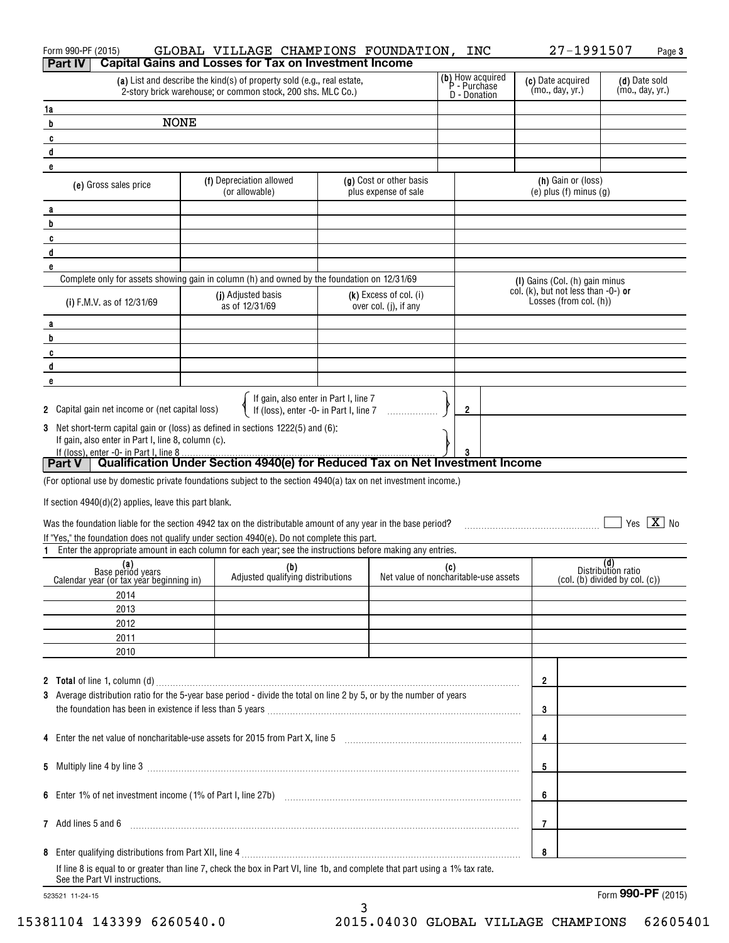| Form 990-PF (2015)                                                                                                                    | GLOBAL VILLAGE CHAMPIONS FOUNDATION, INC                                                                                                                                                                                       |                                                   |                                                  |                                                               | 27-1991507<br>Page 3                                        |
|---------------------------------------------------------------------------------------------------------------------------------------|--------------------------------------------------------------------------------------------------------------------------------------------------------------------------------------------------------------------------------|---------------------------------------------------|--------------------------------------------------|---------------------------------------------------------------|-------------------------------------------------------------|
| Part IV                                                                                                                               | <b>Capital Gains and Losses for Tax on Investment Income</b>                                                                                                                                                                   |                                                   |                                                  |                                                               |                                                             |
|                                                                                                                                       | (a) List and describe the kind(s) of property sold (e.g., real estate,<br>2-story brick warehouse; or common stock, 200 shs. MLC Co.)                                                                                          |                                                   | (b) How acquired<br>P - Purchase<br>D - Donation | (c) Date acquired<br>(mo., day, yr.)                          | (d) Date sold<br>(mo., day, yr.)                            |
| 1a                                                                                                                                    |                                                                                                                                                                                                                                |                                                   |                                                  |                                                               |                                                             |
| <b>NONE</b><br>b                                                                                                                      |                                                                                                                                                                                                                                |                                                   |                                                  |                                                               |                                                             |
| C                                                                                                                                     |                                                                                                                                                                                                                                |                                                   |                                                  |                                                               |                                                             |
| d                                                                                                                                     |                                                                                                                                                                                                                                |                                                   |                                                  |                                                               |                                                             |
| e                                                                                                                                     |                                                                                                                                                                                                                                |                                                   |                                                  |                                                               |                                                             |
| (e) Gross sales price                                                                                                                 | (f) Depreciation allowed<br>(or allowable)                                                                                                                                                                                     | (g) Cost or other basis<br>plus expense of sale   |                                                  | (h) Gain or (loss)<br>$(e)$ plus $(f)$ minus $(g)$            |                                                             |
| a                                                                                                                                     |                                                                                                                                                                                                                                |                                                   |                                                  |                                                               |                                                             |
| b                                                                                                                                     |                                                                                                                                                                                                                                |                                                   |                                                  |                                                               |                                                             |
| C<br>d                                                                                                                                |                                                                                                                                                                                                                                |                                                   |                                                  |                                                               |                                                             |
| e                                                                                                                                     |                                                                                                                                                                                                                                |                                                   |                                                  |                                                               |                                                             |
|                                                                                                                                       | Complete only for assets showing gain in column (h) and owned by the foundation on 12/31/69                                                                                                                                    |                                                   |                                                  | (I) Gains (Col. (h) gain minus                                |                                                             |
| (i) F.M.V. as of 12/31/69                                                                                                             | (j) Adjusted basis<br>as of 12/31/69                                                                                                                                                                                           | $(k)$ Excess of col. (i)<br>over col. (j), if any |                                                  | col. (k), but not less than -0-) or<br>Losses (from col. (h)) |                                                             |
| a                                                                                                                                     |                                                                                                                                                                                                                                |                                                   |                                                  |                                                               |                                                             |
| b                                                                                                                                     |                                                                                                                                                                                                                                |                                                   |                                                  |                                                               |                                                             |
| C                                                                                                                                     |                                                                                                                                                                                                                                |                                                   |                                                  |                                                               |                                                             |
| d                                                                                                                                     |                                                                                                                                                                                                                                |                                                   |                                                  |                                                               |                                                             |
| e                                                                                                                                     |                                                                                                                                                                                                                                |                                                   |                                                  |                                                               |                                                             |
| 2 Capital gain net income or (net capital loss)                                                                                       | If gain, also enter in Part I, line 7<br>If (loss), enter -0- in Part I, line 7                                                                                                                                                |                                                   | 2                                                |                                                               |                                                             |
| 3 Net short-term capital gain or (loss) as defined in sections 1222(5) and (6):<br>If gain, also enter in Part I, line 8, column (c). |                                                                                                                                                                                                                                |                                                   |                                                  |                                                               |                                                             |
| If (loss), enter -0- in Part I, line 8<br>Part V   Qualification Under Section 4940(e) for Reduced Tax on Net Investment Income       |                                                                                                                                                                                                                                |                                                   |                                                  |                                                               |                                                             |
| (For optional use by domestic private foundations subject to the section 4940(a) tax on net investment income.)                       |                                                                                                                                                                                                                                |                                                   |                                                  |                                                               |                                                             |
|                                                                                                                                       |                                                                                                                                                                                                                                |                                                   |                                                  |                                                               |                                                             |
| If section $4940(d)(2)$ applies, leave this part blank.                                                                               |                                                                                                                                                                                                                                |                                                   |                                                  |                                                               |                                                             |
| Was the foundation liable for the section 4942 tax on the distributable amount of any year in the base period?                        |                                                                                                                                                                                                                                |                                                   |                                                  |                                                               | Yes $X$ No                                                  |
| If "Yes," the foundation does not qualify under section 4940(e). Do not complete this part.                                           |                                                                                                                                                                                                                                |                                                   |                                                  |                                                               |                                                             |
| 1.                                                                                                                                    | Enter the appropriate amount in each column for each year; see the instructions before making any entries.                                                                                                                     |                                                   |                                                  |                                                               |                                                             |
| (a)<br>Base period years<br>Calendar year (or tax year beginning in)                                                                  | (b)<br>Adjusted qualifying distributions                                                                                                                                                                                       |                                                   | (c)<br>Net value of noncharitable-use assets     |                                                               | (d)<br>Distribution ratio<br>(col. (b) divided by col. (c)) |
| 2014                                                                                                                                  |                                                                                                                                                                                                                                |                                                   |                                                  |                                                               |                                                             |
| 2013                                                                                                                                  |                                                                                                                                                                                                                                |                                                   |                                                  |                                                               |                                                             |
| 2012                                                                                                                                  |                                                                                                                                                                                                                                |                                                   |                                                  |                                                               |                                                             |
| 2011                                                                                                                                  |                                                                                                                                                                                                                                |                                                   |                                                  |                                                               |                                                             |
| 2010                                                                                                                                  |                                                                                                                                                                                                                                |                                                   |                                                  |                                                               |                                                             |
|                                                                                                                                       |                                                                                                                                                                                                                                |                                                   |                                                  |                                                               |                                                             |
|                                                                                                                                       |                                                                                                                                                                                                                                |                                                   |                                                  | 2                                                             |                                                             |
| 3 Average distribution ratio for the 5-year base period - divide the total on line 2 by 5, or by the number of years                  |                                                                                                                                                                                                                                |                                                   |                                                  |                                                               |                                                             |
|                                                                                                                                       | the foundation has been in existence if less than 5 years [11] match match match and the foundation has been in existence if less than 5 years [11] match match match match and the foundation has been in existence if $\sim$ |                                                   |                                                  | 3                                                             |                                                             |
|                                                                                                                                       |                                                                                                                                                                                                                                |                                                   |                                                  | 4                                                             |                                                             |
|                                                                                                                                       |                                                                                                                                                                                                                                |                                                   |                                                  | 5                                                             |                                                             |
|                                                                                                                                       |                                                                                                                                                                                                                                |                                                   |                                                  | 6                                                             |                                                             |
| 7 Add lines 5 and 6                                                                                                                   |                                                                                                                                                                                                                                |                                                   |                                                  | 7                                                             |                                                             |
|                                                                                                                                       |                                                                                                                                                                                                                                |                                                   |                                                  | 8                                                             |                                                             |
| See the Part VI instructions.                                                                                                         | If line 8 is equal to or greater than line 7, check the box in Part VI, line 1b, and complete that part using a 1% tax rate.                                                                                                   |                                                   |                                                  |                                                               |                                                             |

3 3

523521 11-24-15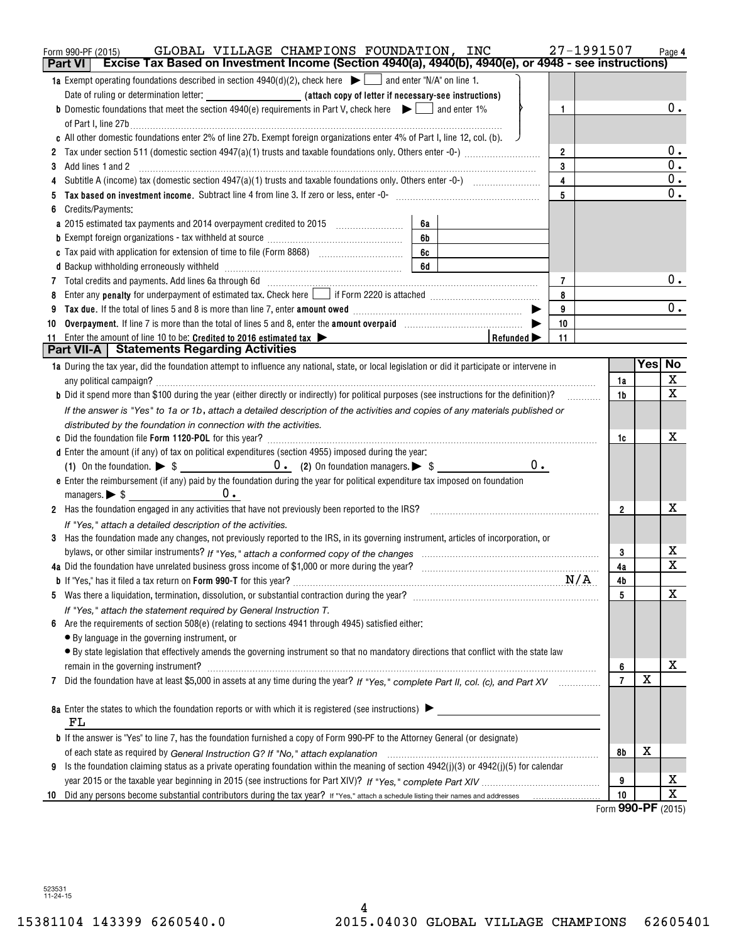|    | GLOBAL VILLAGE CHAMPIONS FOUNDATION, INC<br>Form 990-PF (2015)                                                                                                                   | 27-1991507     |                          | Page 4                  |
|----|----------------------------------------------------------------------------------------------------------------------------------------------------------------------------------|----------------|--------------------------|-------------------------|
|    | Excise Tax Based on Investment Income (Section 4940(a), 4940(b), 4940(e), or 4948 - see instructions)<br><b>Part VI</b>                                                          |                |                          |                         |
|    | <b>1a</b> Exempt operating foundations described in section $4940(d)(2)$ , check here $\Box$ and enter "N/A" on line 1.                                                          |                |                          |                         |
|    |                                                                                                                                                                                  |                |                          |                         |
|    | <b>b</b> Domestic foundations that meet the section 4940(e) requirements in Part V, check here $\bullet$ and enter 1%<br>$\mathbf{1}$                                            |                |                          | 0.                      |
|    |                                                                                                                                                                                  |                |                          |                         |
|    | c All other domestic foundations enter 2% of line 27b. Exempt foreign organizations enter 4% of Part I, line 12, col. (b).                                                       |                |                          |                         |
|    | $\overline{2}$                                                                                                                                                                   |                |                          | $0$ .                   |
| 3  | 3<br>Add lines 1 and 2                                                                                                                                                           |                |                          | $\overline{0}$ .        |
|    | $\overline{\mathbf{4}}$                                                                                                                                                          |                |                          | $\mathbf 0$ .           |
|    | 5                                                                                                                                                                                |                |                          | $\overline{0}$ .        |
|    | Credits/Payments:                                                                                                                                                                |                |                          |                         |
|    | 6a                                                                                                                                                                               |                |                          |                         |
|    | 6b                                                                                                                                                                               |                |                          |                         |
|    | 6c                                                                                                                                                                               |                |                          |                         |
|    | 6d                                                                                                                                                                               |                |                          | $0$ .                   |
| 7  | $\overline{7}$                                                                                                                                                                   |                |                          |                         |
|    | Enter any <b>penalty</b> for underpayment of estimated tax. Check here <b>Leap if Form 2220</b> is attached <i>manumenomention</i><br>8                                          |                |                          | $0$ .                   |
|    | 9<br>10                                                                                                                                                                          |                |                          |                         |
| 10 | Overpayment. If line 7 is more than the total of lines 5 and 8, enter the amount overpaid manufactured.<br>11                                                                    |                |                          |                         |
| 11 | Enter the amount of line 10 to be: Credited to 2016 estimated tax $\blacktriangleright$<br>Refunded $\blacktriangleright$<br><b>Part VII-A   Statements Regarding Activities</b> |                |                          |                         |
|    | 1a During the tax year, did the foundation attempt to influence any national, state, or local legislation or did it participate or intervene in                                  |                | Yesl                     | No                      |
|    |                                                                                                                                                                                  | 1a             |                          | X                       |
|    | <b>b</b> Did it spend more than \$100 during the year (either directly or indirectly) for political purposes (see instructions for the definition)?                              | 1 <sub>b</sub> |                          | $\overline{\mathbf{x}}$ |
|    | If the answer is "Yes" to 1a or 1b, attach a detailed description of the activities and copies of any materials published or                                                     |                |                          |                         |
|    | distributed by the foundation in connection with the activities.                                                                                                                 |                |                          |                         |
|    |                                                                                                                                                                                  | 1c             |                          | х                       |
|    | d Enter the amount (if any) of tax on political expenditures (section 4955) imposed during the year:                                                                             |                |                          |                         |
|    | $0$ .                                                                                                                                                                            |                |                          |                         |
|    | e Enter the reimbursement (if any) paid by the foundation during the year for political expenditure tax imposed on foundation                                                    |                |                          |                         |
|    |                                                                                                                                                                                  |                |                          |                         |
|    | 2 Has the foundation engaged in any activities that have not previously been reported to the IRS?                                                                                | $\overline{2}$ |                          | х                       |
|    | If "Yes," attach a detailed description of the activities.                                                                                                                       |                |                          |                         |
|    | 3 Has the foundation made any changes, not previously reported to the IRS, in its governing instrument, articles of incorporation, or                                            |                |                          |                         |
|    |                                                                                                                                                                                  | 3              |                          | х                       |
|    |                                                                                                                                                                                  | 4a             |                          | $\overline{\mathbf{x}}$ |
|    |                                                                                                                                                                                  | 4b             |                          |                         |
|    |                                                                                                                                                                                  | 5              |                          | Χ                       |
|    | If "Yes," attach the statement required by General Instruction T.                                                                                                                |                |                          |                         |
| 6  | Are the requirements of section 508(e) (relating to sections 4941 through 4945) satisfied either:                                                                                |                |                          |                         |
|    | • By language in the governing instrument, or                                                                                                                                    |                |                          |                         |
|    | · By state legislation that effectively amends the governing instrument so that no mandatory directions that conflict with the state law                                         |                |                          |                         |
|    | remain in the governing instrument?                                                                                                                                              | 6              |                          | х                       |
| 7  | Did the foundation have at least \$5,000 in assets at any time during the year? If "Yes," complete Part II, col. (c), and Part XV                                                | $\overline{7}$ | $\mathbf X$              |                         |
|    |                                                                                                                                                                                  |                |                          |                         |
|    | 8a Enter the states to which the foundation reports or with which it is registered (see instructions)                                                                            |                |                          |                         |
|    | FL                                                                                                                                                                               |                |                          |                         |
|    | <b>b</b> If the answer is "Yes" to line 7, has the foundation furnished a copy of Form 990-PF to the Attorney General (or designate)                                             |                |                          |                         |
|    |                                                                                                                                                                                  | 8b             | х                        |                         |
| 9  | Is the foundation claiming status as a private operating foundation within the meaning of section 4942(j)(3) or 4942(j)(5) for calendar                                          |                |                          |                         |
|    |                                                                                                                                                                                  | 9              |                          | х                       |
|    |                                                                                                                                                                                  | 10             | $000 \text{ } \text{DE}$ | $\overline{\text{X}}$   |

Form **990-PF** ( <sup>2015</sup>) Form (2015) **990-PF**

523531 11-24-15 523531 11-24-15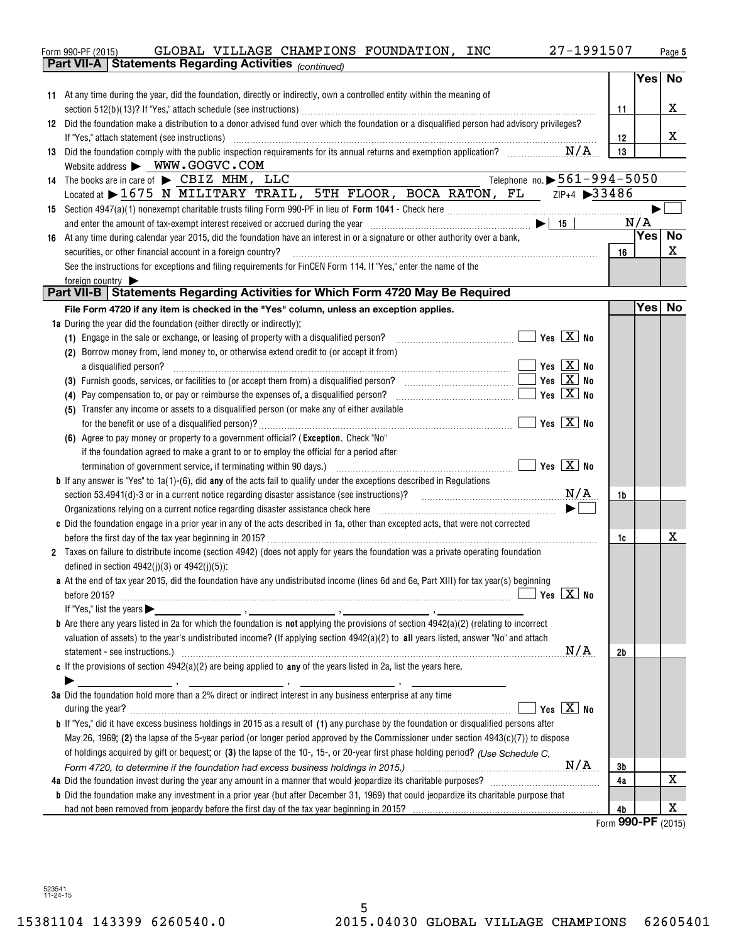|                                                                                                                                                                                                                                                                                                                                                                                                                                                                                                               | 27-1991507 |        | Page 5      |
|---------------------------------------------------------------------------------------------------------------------------------------------------------------------------------------------------------------------------------------------------------------------------------------------------------------------------------------------------------------------------------------------------------------------------------------------------------------------------------------------------------------|------------|--------|-------------|
| Part VII-A   Statements Regarding Activities (continued)                                                                                                                                                                                                                                                                                                                                                                                                                                                      |            |        |             |
|                                                                                                                                                                                                                                                                                                                                                                                                                                                                                                               |            | Yes No |             |
| 11 At any time during the year, did the foundation, directly or indirectly, own a controlled entity within the meaning of                                                                                                                                                                                                                                                                                                                                                                                     |            |        | x           |
| 12 Did the foundation make a distribution to a donor advised fund over which the foundation or a disqualified person had advisory privileges?                                                                                                                                                                                                                                                                                                                                                                 | -11        |        |             |
| If "Yes," attach statement (see instructions) manufactured and according to the statement of the statement (see                                                                                                                                                                                                                                                                                                                                                                                               | 12         |        | X           |
| 13 Did the foundation comply with the public inspection requirements for its annual returns and exemption application?                                                                                                                                                                                                                                                                                                                                                                                        | 13         |        |             |
| Website address > WWW.GOGVC.COM                                                                                                                                                                                                                                                                                                                                                                                                                                                                               |            |        |             |
| Telephone no. $\triangleright$ 561-994-5050<br>14 The books are in care of $\blacktriangleright$ CBIZ MHM, LLC                                                                                                                                                                                                                                                                                                                                                                                                |            |        |             |
| Located at > 1675 N MILITARY TRAIL, 5TH FLOOR, BOCA RATON, FL ZIP+4 >33486                                                                                                                                                                                                                                                                                                                                                                                                                                    |            |        |             |
|                                                                                                                                                                                                                                                                                                                                                                                                                                                                                                               |            |        |             |
|                                                                                                                                                                                                                                                                                                                                                                                                                                                                                                               |            | N/A    |             |
| 16 At any time during calendar year 2015, did the foundation have an interest in or a signature or other authority over a bank,                                                                                                                                                                                                                                                                                                                                                                               |            | Yes    | No          |
| securities, or other financial account in a foreign country?<br>$\begin{minipage}{0.5\textwidth} \begin{tabular}{ l l l } \hline & \multicolumn{1}{ l l } \hline & \multicolumn{1}{ l } \multicolumn{1}{ l } \hline \multicolumn{1}{ l } \multicolumn{1}{ l } \multicolumn{1}{ l } \multicolumn{1}{ l } \multicolumn{1}{ l } \multicolumn{1}{ l } \multicolumn{1}{ l } \multicolumn{1}{ l } \multicolumn{1}{ l } \multicolumn{1}{ l } \multicolumn{1}{ l } \multicolumn{1}{ l } \multicolumn{1}{ l } \multic$ | 16         |        | X           |
| See the instructions for exceptions and filing requirements for FinCEN Form 114. If "Yes," enter the name of the                                                                                                                                                                                                                                                                                                                                                                                              |            |        |             |
| foreign country                                                                                                                                                                                                                                                                                                                                                                                                                                                                                               |            |        |             |
| Part VII-B   Statements Regarding Activities for Which Form 4720 May Be Required                                                                                                                                                                                                                                                                                                                                                                                                                              |            | Yes No |             |
| File Form 4720 if any item is checked in the "Yes" column, unless an exception applies.                                                                                                                                                                                                                                                                                                                                                                                                                       |            |        |             |
| 1a During the year did the foundation (either directly or indirectly):                                                                                                                                                                                                                                                                                                                                                                                                                                        |            |        |             |
| (1) Engage in the sale or exchange, or leasing of property with a disqualified person? $\ldots$ $\ldots$ $\ldots$ $\ldots$ $\ldots$ $\ldots$ $\ldots$ Yes $\boxed{\mathbf{X}}$ No<br>(2) Borrow money from, lend money to, or otherwise extend credit to (or accept it from)                                                                                                                                                                                                                                  |            |        |             |
| $Yes \quad X \quad No$                                                                                                                                                                                                                                                                                                                                                                                                                                                                                        |            |        |             |
| Yes $X$ No                                                                                                                                                                                                                                                                                                                                                                                                                                                                                                    |            |        |             |
| Yes $X$ No<br><b>Contract</b><br>(4) Pay compensation to, or pay or reimburse the expenses of, a disqualified person?                                                                                                                                                                                                                                                                                                                                                                                         |            |        |             |
| (5) Transfer any income or assets to a disqualified person (or make any of either available                                                                                                                                                                                                                                                                                                                                                                                                                   |            |        |             |
|                                                                                                                                                                                                                                                                                                                                                                                                                                                                                                               |            |        |             |
| (6) Agree to pay money or property to a government official? (Exception. Check "No"                                                                                                                                                                                                                                                                                                                                                                                                                           |            |        |             |
| if the foundation agreed to make a grant to or to employ the official for a period after                                                                                                                                                                                                                                                                                                                                                                                                                      |            |        |             |
|                                                                                                                                                                                                                                                                                                                                                                                                                                                                                                               |            |        |             |
| <b>b</b> If any answer is "Yes" to 1a(1)-(6), did any of the acts fail to qualify under the exceptions described in Regulations                                                                                                                                                                                                                                                                                                                                                                               |            |        |             |
| section 53.4941(d)-3 or in a current notice regarding disaster assistance (see instructions)? $N/A$                                                                                                                                                                                                                                                                                                                                                                                                           | 1b         |        |             |
|                                                                                                                                                                                                                                                                                                                                                                                                                                                                                                               |            |        |             |
| c Did the foundation engage in a prior year in any of the acts described in 1a, other than excepted acts, that were not corrected                                                                                                                                                                                                                                                                                                                                                                             |            |        |             |
|                                                                                                                                                                                                                                                                                                                                                                                                                                                                                                               | 1c         |        | X           |
| 2 Taxes on failure to distribute income (section 4942) (does not apply for years the foundation was a private operating foundation                                                                                                                                                                                                                                                                                                                                                                            |            |        |             |
| defined in section $4942(j)(3)$ or $4942(j)(5)$ :                                                                                                                                                                                                                                                                                                                                                                                                                                                             |            |        |             |
| a At the end of tax year 2015, did the foundation have any undistributed income (lines 6d and 6e, Part XIII) for tax year(s) beginning                                                                                                                                                                                                                                                                                                                                                                        |            |        |             |
| $\sqrt{}$ Yes $\sqrt{}$ X $\sqrt{}$ No                                                                                                                                                                                                                                                                                                                                                                                                                                                                        |            |        |             |
|                                                                                                                                                                                                                                                                                                                                                                                                                                                                                                               |            |        |             |
|                                                                                                                                                                                                                                                                                                                                                                                                                                                                                                               |            |        |             |
| <b>b</b> Are there any years listed in 2a for which the foundation is <b>not</b> applying the provisions of section $4942(a)(2)$ (relating to incorrect                                                                                                                                                                                                                                                                                                                                                       |            |        |             |
| valuation of assets) to the year's undistributed income? (If applying section 4942(a)(2) to all years listed, answer "No" and attach                                                                                                                                                                                                                                                                                                                                                                          |            |        |             |
| statement - see instructions.) with an according to the contract of the contract of the contract of the contract of the contract of the contract of the contract of the contract of the contract of the contract of the contra                                                                                                                                                                                                                                                                                | 2b         |        |             |
| c If the provisions of section $4942(a)(2)$ are being applied to any of the years listed in 2a, list the years here.                                                                                                                                                                                                                                                                                                                                                                                          |            |        |             |
|                                                                                                                                                                                                                                                                                                                                                                                                                                                                                                               |            |        |             |
| 3a Did the foundation hold more than a 2% direct or indirect interest in any business enterprise at any time<br>Yes $X$ No                                                                                                                                                                                                                                                                                                                                                                                    |            |        |             |
| <b>b</b> If "Yes," did it have excess business holdings in 2015 as a result of (1) any purchase by the foundation or disqualified persons after                                                                                                                                                                                                                                                                                                                                                               |            |        |             |
| May 26, 1969; (2) the lapse of the 5-year period (or longer period approved by the Commissioner under section $4943(c)(7)$ ) to dispose                                                                                                                                                                                                                                                                                                                                                                       |            |        |             |
| of holdings acquired by gift or bequest; or (3) the lapse of the 10-, 15-, or 20-year first phase holding period? (Use Schedule C.                                                                                                                                                                                                                                                                                                                                                                            |            |        |             |
|                                                                                                                                                                                                                                                                                                                                                                                                                                                                                                               | 3b         |        |             |
|                                                                                                                                                                                                                                                                                                                                                                                                                                                                                                               | 4a         |        | $\mathbf X$ |
| <b>b</b> Did the foundation make any investment in a prior year (but after December 31, 1969) that could jeopardize its charitable purpose that                                                                                                                                                                                                                                                                                                                                                               |            |        | X           |

523541 11-24-15 523541 11-24-15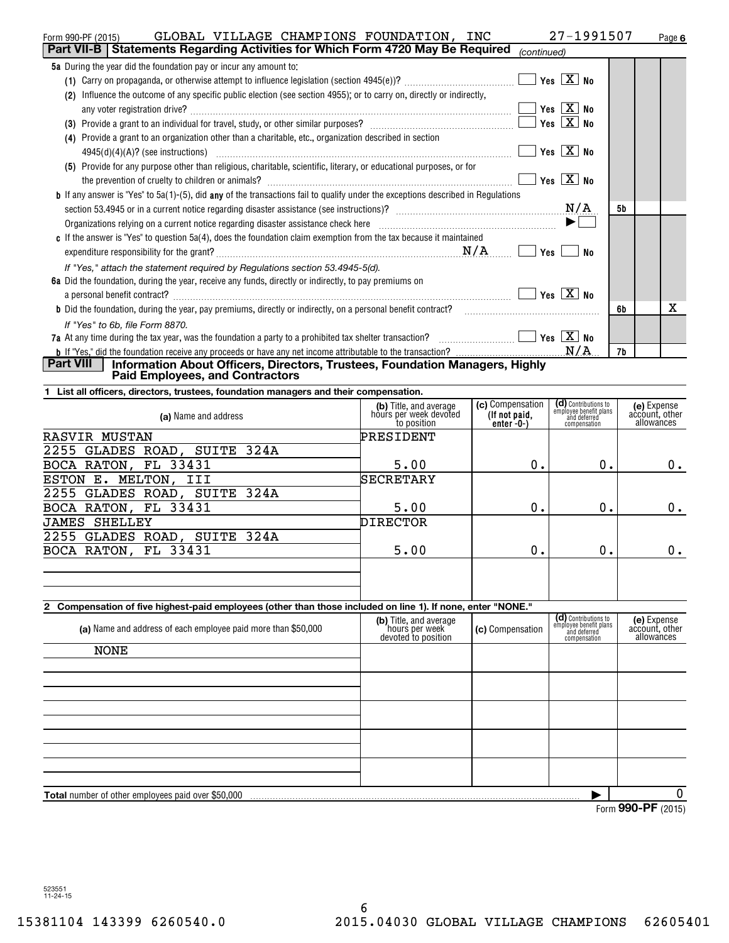| GLOBAL VILLAGE CHAMPIONS FOUNDATION, INC<br>Form 990-PF (2015)                                                                          |                                                  |                  | 27-1991507                                                     | Page 6                        |
|-----------------------------------------------------------------------------------------------------------------------------------------|--------------------------------------------------|------------------|----------------------------------------------------------------|-------------------------------|
| Part VII-B   Statements Regarding Activities for Which Form 4720 May Be Required                                                        |                                                  | (continued)      |                                                                |                               |
| 5a During the year did the foundation pay or incur any amount to:                                                                       |                                                  |                  |                                                                |                               |
|                                                                                                                                         |                                                  |                  | Yes $X$ No                                                     |                               |
| (2) Influence the outcome of any specific public election (see section 4955); or to carry on, directly or indirectly,                   |                                                  |                  |                                                                |                               |
|                                                                                                                                         |                                                  |                  | Yes $\boxed{X}$ No                                             |                               |
|                                                                                                                                         |                                                  |                  | Yes $X$ No                                                     |                               |
| (4) Provide a grant to an organization other than a charitable, etc., organization described in section                                 |                                                  |                  |                                                                |                               |
|                                                                                                                                         |                                                  |                  | Yes $X$ No                                                     |                               |
| (5) Provide for any purpose other than religious, charitable, scientific, literary, or educational purposes, or for                     |                                                  |                  |                                                                |                               |
|                                                                                                                                         |                                                  |                  | Yes $\boxed{X}$ No                                             |                               |
| <b>b</b> If any answer is "Yes" to 5a(1)-(5), did any of the transactions fail to qualify under the exceptions described in Regulations |                                                  |                  |                                                                |                               |
|                                                                                                                                         |                                                  |                  | N/A                                                            | 5b                            |
|                                                                                                                                         |                                                  |                  |                                                                |                               |
| c If the answer is "Yes" to question $5a(4)$ , does the foundation claim exemption from the tax because it maintained                   |                                                  |                  |                                                                |                               |
|                                                                                                                                         |                                                  |                  |                                                                |                               |
|                                                                                                                                         |                                                  |                  | No                                                             |                               |
| If "Yes," attach the statement required by Regulations section 53.4945-5(d).                                                            |                                                  |                  |                                                                |                               |
| 6a Did the foundation, during the year, receive any funds, directly or indirectly, to pay premiums on                                   |                                                  |                  |                                                                |                               |
| a personal benefit contract? $\ldots$ No                                                                                                |                                                  |                  |                                                                |                               |
|                                                                                                                                         |                                                  |                  |                                                                | x<br>6b                       |
| If "Yes" to 6b. file Form 8870.                                                                                                         |                                                  |                  |                                                                |                               |
| 7a At any time during the tax year, was the foundation a party to a prohibited tax shelter transaction? $\ldots$ $\ldots$ $\ldots$      |                                                  |                  |                                                                |                               |
| Part VIII                                                                                                                               |                                                  |                  |                                                                | 7b                            |
| Information About Officers, Directors, Trustees, Foundation Managers, Highly<br><b>Paid Employees, and Contractors</b>                  |                                                  |                  |                                                                |                               |
| List all officers, directors, trustees, foundation managers and their compensation.                                                     |                                                  |                  |                                                                |                               |
|                                                                                                                                         |                                                  | (c) Compensation |                                                                | (e) Expense                   |
| (a) Name and address                                                                                                                    | (b) Title, and average<br>hours per week devoted | (If not paid,    | (d) Contributions to<br>employee benefit plans<br>and deferred | account, other                |
|                                                                                                                                         | to position                                      | enter $-0$ - $)$ | compensation                                                   | allowances                    |
| <b>RASVIR MUSTAN</b>                                                                                                                    | PRESIDENT                                        |                  |                                                                |                               |
| 2255 GLADES ROAD, SUITE 324A                                                                                                            |                                                  |                  |                                                                |                               |
| BOCA RATON, FL 33431                                                                                                                    | 5.00                                             | 0.               | 0.                                                             | 0.                            |
| ESTON E. MELTON, III                                                                                                                    | SECRETARY                                        |                  |                                                                |                               |
| 2255 GLADES ROAD, SUITE 324A                                                                                                            |                                                  |                  |                                                                |                               |
| BOCA RATON, FL 33431                                                                                                                    | 5.00                                             | 0.               | $0$ .                                                          | 0.                            |
| <b>JAMES SHELLEY</b>                                                                                                                    | <b>DIRECTOR</b>                                  |                  |                                                                |                               |
| 2255 GLADES ROAD, SUITE 324A                                                                                                            |                                                  |                  |                                                                |                               |
| BOCA RATON, FL 33431                                                                                                                    | 5.00                                             | 0.               | $0$ .                                                          | 0.                            |
|                                                                                                                                         |                                                  |                  |                                                                |                               |
|                                                                                                                                         |                                                  |                  |                                                                |                               |
|                                                                                                                                         |                                                  |                  |                                                                |                               |
| 2 Compensation of five highest-paid employees (other than those included on line 1). If none, enter "NONE."                             |                                                  |                  | (d) Contributions to                                           |                               |
| (a) Name and address of each employee paid more than \$50,000                                                                           | (b) Title, and average<br>hours per week         | (c) Compensation | employee benefit plans<br>and deferred                         | (e) Expense<br>account, other |
|                                                                                                                                         | devoted to position                              |                  | compensation                                                   | allowances                    |
| <b>NONE</b>                                                                                                                             |                                                  |                  |                                                                |                               |
|                                                                                                                                         |                                                  |                  |                                                                |                               |
|                                                                                                                                         |                                                  |                  |                                                                |                               |
|                                                                                                                                         |                                                  |                  |                                                                |                               |
|                                                                                                                                         |                                                  |                  |                                                                |                               |
|                                                                                                                                         |                                                  |                  |                                                                |                               |
|                                                                                                                                         |                                                  |                  |                                                                |                               |
|                                                                                                                                         |                                                  |                  |                                                                |                               |
|                                                                                                                                         |                                                  |                  |                                                                |                               |
|                                                                                                                                         |                                                  |                  |                                                                |                               |
| Total number of other employees paid over \$50,000                                                                                      |                                                  |                  |                                                                | 0                             |
|                                                                                                                                         |                                                  |                  |                                                                | Form 990-PF (2015)            |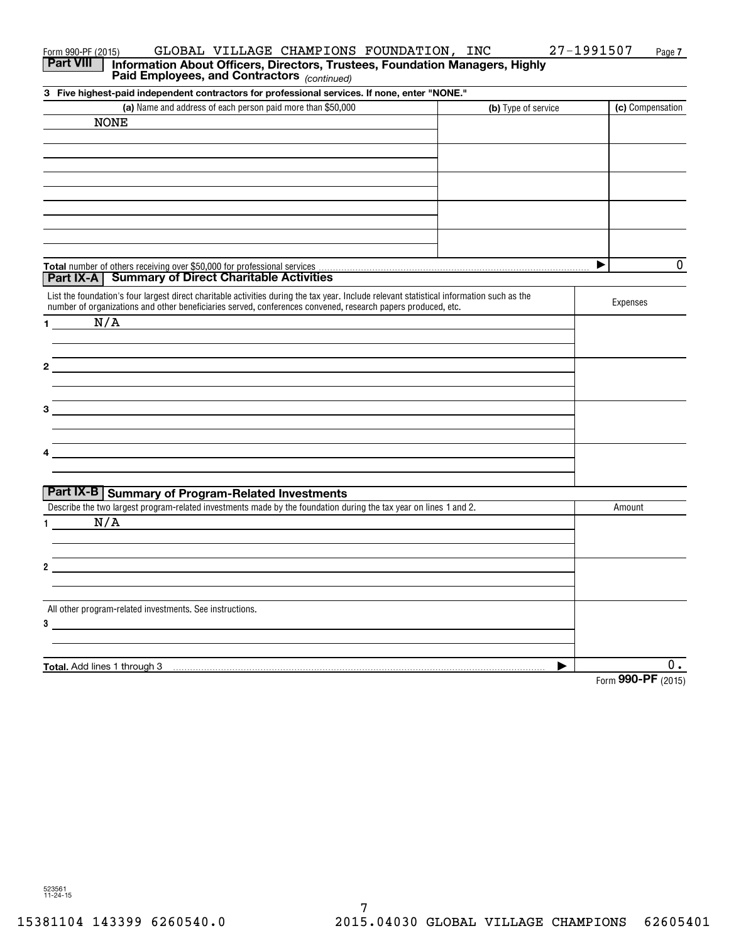| GLOBAL VILLAGE CHAMPIONS FOUNDATION, INC<br>Form 990-PF (2015)<br><b>Part VIII</b><br>Information About Officers, Directors, Trustees, Foundation Managers, Highly<br>Paid Employees, and Contractors (continued)                                         |                     | 27-1991507<br>Page 7 |
|-----------------------------------------------------------------------------------------------------------------------------------------------------------------------------------------------------------------------------------------------------------|---------------------|----------------------|
| 3 Five highest-paid independent contractors for professional services. If none, enter "NONE."                                                                                                                                                             |                     |                      |
| (a) Name and address of each person paid more than \$50,000                                                                                                                                                                                               | (b) Type of service | (c) Compensation     |
| <b>NONE</b>                                                                                                                                                                                                                                               |                     |                      |
|                                                                                                                                                                                                                                                           |                     |                      |
|                                                                                                                                                                                                                                                           |                     |                      |
|                                                                                                                                                                                                                                                           |                     |                      |
|                                                                                                                                                                                                                                                           |                     |                      |
| <b>Part IX-A</b> Summary of Direct Charitable Activities                                                                                                                                                                                                  |                     | $\mathbf 0$<br>▶     |
| List the foundation's four largest direct charitable activities during the tax year. Include relevant statistical information such as the<br>number of organizations and other beneficiaries served, conferences convened, research papers produced, etc. |                     | Expenses             |
| N/A<br>1.                                                                                                                                                                                                                                                 |                     |                      |
| $\mathbf{2}$                                                                                                                                                                                                                                              |                     |                      |
|                                                                                                                                                                                                                                                           |                     |                      |
| 3                                                                                                                                                                                                                                                         |                     |                      |
|                                                                                                                                                                                                                                                           |                     |                      |
| <b>Part IX-B   Summary of Program-Related Investments</b>                                                                                                                                                                                                 |                     |                      |
| Describe the two largest program-related investments made by the foundation during the tax year on lines 1 and 2.                                                                                                                                         |                     | Amount               |
| N/A                                                                                                                                                                                                                                                       |                     |                      |
| 2                                                                                                                                                                                                                                                         |                     |                      |
|                                                                                                                                                                                                                                                           |                     |                      |
| All other program-related investments. See instructions.<br>3                                                                                                                                                                                             |                     |                      |
|                                                                                                                                                                                                                                                           |                     |                      |
| Total. Add lines 1 through 3                                                                                                                                                                                                                              |                     | 0.                   |
|                                                                                                                                                                                                                                                           |                     | Form 990-PF (2015)   |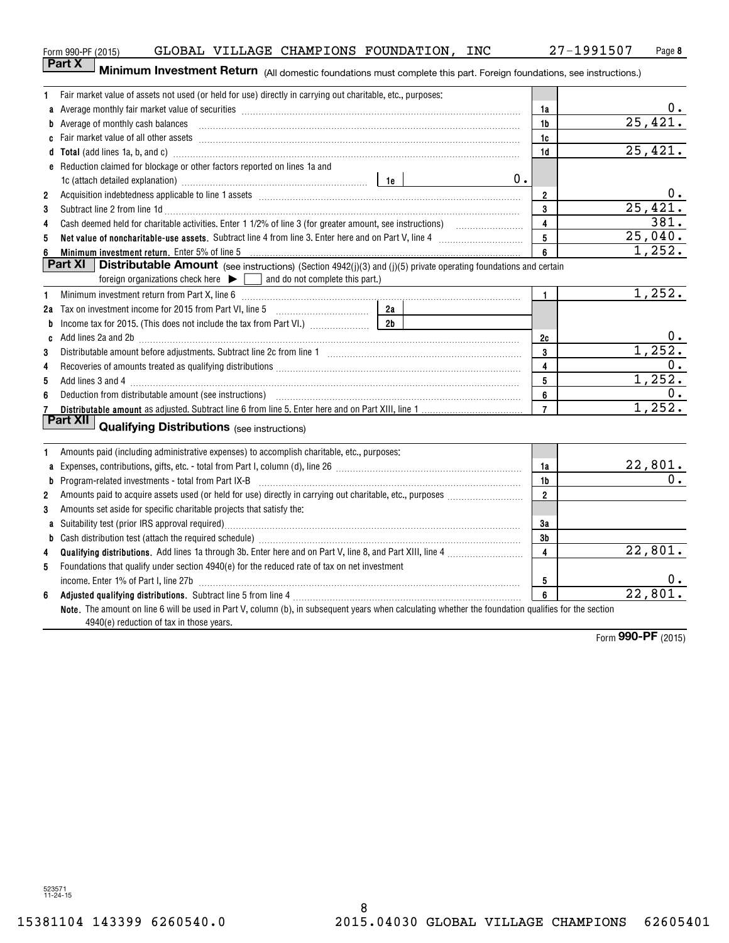| b Average of monthly cash balances encontractional contraction and a series of monthly cash balances<br>1b<br>1c<br>d Total (add lines 1a, b, and c) measurements are constructed as a finite of the construction of the constraints of the constraints of the constraints of the constraints of the constraints of the constraints of the constra<br>1d<br>e Reduction claimed for blockage or other factors reported on lines 1a and<br>$0$ .<br>1c (attach detailed explanation) manufactured and according to the late of the late of the late of the late of the late of the late of the late of the late of the late of the late of the late of the late of the late of the<br>$\overline{2}$<br>$\overline{2}$<br>3<br>3<br>Subtract line 2 from line 1d <b>Machinese and Contract Line 2</b> from line 1d <b>machinese and contract line</b> 2 from line 1d<br>$\overline{4}$<br>4<br>5<br>5<br>6<br>Minimum investment return. Enter 5% of line 5<br>6<br>Part XI<br><b>Distributable Amount</b> (see instructions) (Section 4942(j)(3) and (j)(5) private operating foundations and certain<br>foreign organizations check here $\blacktriangleright \Box$ and do not complete this part.)<br>$\mathbf{1}$<br>Minimum investment return from Part X, line 6 [11] Minimum material contracts and the contract of the contract of the contract of the contract of the contract of the contract of the contract of the contract of the contract<br>1<br>b<br>Add lines 2a and 2b <b>manufacture and 2</b> manufacture and all the manufacture and all the set of the manufacture and and all the manufacture and all the manufacture and all the manufacture and all the manufacture and all the<br>2c<br>C<br>3<br>3<br>4<br>4<br>5<br>5<br>6<br>6<br>$\overline{7}$<br>7<br>Part XII<br><b>Qualifying Distributions</b> (see instructions) | 25,421.<br>25,421.   |
|-----------------------------------------------------------------------------------------------------------------------------------------------------------------------------------------------------------------------------------------------------------------------------------------------------------------------------------------------------------------------------------------------------------------------------------------------------------------------------------------------------------------------------------------------------------------------------------------------------------------------------------------------------------------------------------------------------------------------------------------------------------------------------------------------------------------------------------------------------------------------------------------------------------------------------------------------------------------------------------------------------------------------------------------------------------------------------------------------------------------------------------------------------------------------------------------------------------------------------------------------------------------------------------------------------------------------------------------------------------------------------------------------------------------------------------------------------------------------------------------------------------------------------------------------------------------------------------------------------------------------------------------------------------------------------------------------------------------------------------------------------------------------------------------------------------------------------------------------------|----------------------|
|                                                                                                                                                                                                                                                                                                                                                                                                                                                                                                                                                                                                                                                                                                                                                                                                                                                                                                                                                                                                                                                                                                                                                                                                                                                                                                                                                                                                                                                                                                                                                                                                                                                                                                                                                                                                                                                     |                      |
|                                                                                                                                                                                                                                                                                                                                                                                                                                                                                                                                                                                                                                                                                                                                                                                                                                                                                                                                                                                                                                                                                                                                                                                                                                                                                                                                                                                                                                                                                                                                                                                                                                                                                                                                                                                                                                                     |                      |
|                                                                                                                                                                                                                                                                                                                                                                                                                                                                                                                                                                                                                                                                                                                                                                                                                                                                                                                                                                                                                                                                                                                                                                                                                                                                                                                                                                                                                                                                                                                                                                                                                                                                                                                                                                                                                                                     |                      |
|                                                                                                                                                                                                                                                                                                                                                                                                                                                                                                                                                                                                                                                                                                                                                                                                                                                                                                                                                                                                                                                                                                                                                                                                                                                                                                                                                                                                                                                                                                                                                                                                                                                                                                                                                                                                                                                     |                      |
|                                                                                                                                                                                                                                                                                                                                                                                                                                                                                                                                                                                                                                                                                                                                                                                                                                                                                                                                                                                                                                                                                                                                                                                                                                                                                                                                                                                                                                                                                                                                                                                                                                                                                                                                                                                                                                                     |                      |
|                                                                                                                                                                                                                                                                                                                                                                                                                                                                                                                                                                                                                                                                                                                                                                                                                                                                                                                                                                                                                                                                                                                                                                                                                                                                                                                                                                                                                                                                                                                                                                                                                                                                                                                                                                                                                                                     | 0.                   |
|                                                                                                                                                                                                                                                                                                                                                                                                                                                                                                                                                                                                                                                                                                                                                                                                                                                                                                                                                                                                                                                                                                                                                                                                                                                                                                                                                                                                                                                                                                                                                                                                                                                                                                                                                                                                                                                     | 25,421.              |
|                                                                                                                                                                                                                                                                                                                                                                                                                                                                                                                                                                                                                                                                                                                                                                                                                                                                                                                                                                                                                                                                                                                                                                                                                                                                                                                                                                                                                                                                                                                                                                                                                                                                                                                                                                                                                                                     | 381.                 |
|                                                                                                                                                                                                                                                                                                                                                                                                                                                                                                                                                                                                                                                                                                                                                                                                                                                                                                                                                                                                                                                                                                                                                                                                                                                                                                                                                                                                                                                                                                                                                                                                                                                                                                                                                                                                                                                     | 25,040.              |
|                                                                                                                                                                                                                                                                                                                                                                                                                                                                                                                                                                                                                                                                                                                                                                                                                                                                                                                                                                                                                                                                                                                                                                                                                                                                                                                                                                                                                                                                                                                                                                                                                                                                                                                                                                                                                                                     | 1,252.               |
|                                                                                                                                                                                                                                                                                                                                                                                                                                                                                                                                                                                                                                                                                                                                                                                                                                                                                                                                                                                                                                                                                                                                                                                                                                                                                                                                                                                                                                                                                                                                                                                                                                                                                                                                                                                                                                                     |                      |
|                                                                                                                                                                                                                                                                                                                                                                                                                                                                                                                                                                                                                                                                                                                                                                                                                                                                                                                                                                                                                                                                                                                                                                                                                                                                                                                                                                                                                                                                                                                                                                                                                                                                                                                                                                                                                                                     | 1,252.               |
|                                                                                                                                                                                                                                                                                                                                                                                                                                                                                                                                                                                                                                                                                                                                                                                                                                                                                                                                                                                                                                                                                                                                                                                                                                                                                                                                                                                                                                                                                                                                                                                                                                                                                                                                                                                                                                                     |                      |
|                                                                                                                                                                                                                                                                                                                                                                                                                                                                                                                                                                                                                                                                                                                                                                                                                                                                                                                                                                                                                                                                                                                                                                                                                                                                                                                                                                                                                                                                                                                                                                                                                                                                                                                                                                                                                                                     |                      |
|                                                                                                                                                                                                                                                                                                                                                                                                                                                                                                                                                                                                                                                                                                                                                                                                                                                                                                                                                                                                                                                                                                                                                                                                                                                                                                                                                                                                                                                                                                                                                                                                                                                                                                                                                                                                                                                     | 0.                   |
|                                                                                                                                                                                                                                                                                                                                                                                                                                                                                                                                                                                                                                                                                                                                                                                                                                                                                                                                                                                                                                                                                                                                                                                                                                                                                                                                                                                                                                                                                                                                                                                                                                                                                                                                                                                                                                                     | 1,252.               |
|                                                                                                                                                                                                                                                                                                                                                                                                                                                                                                                                                                                                                                                                                                                                                                                                                                                                                                                                                                                                                                                                                                                                                                                                                                                                                                                                                                                                                                                                                                                                                                                                                                                                                                                                                                                                                                                     | 0.                   |
|                                                                                                                                                                                                                                                                                                                                                                                                                                                                                                                                                                                                                                                                                                                                                                                                                                                                                                                                                                                                                                                                                                                                                                                                                                                                                                                                                                                                                                                                                                                                                                                                                                                                                                                                                                                                                                                     | 1,252.               |
|                                                                                                                                                                                                                                                                                                                                                                                                                                                                                                                                                                                                                                                                                                                                                                                                                                                                                                                                                                                                                                                                                                                                                                                                                                                                                                                                                                                                                                                                                                                                                                                                                                                                                                                                                                                                                                                     | 0.                   |
|                                                                                                                                                                                                                                                                                                                                                                                                                                                                                                                                                                                                                                                                                                                                                                                                                                                                                                                                                                                                                                                                                                                                                                                                                                                                                                                                                                                                                                                                                                                                                                                                                                                                                                                                                                                                                                                     | 1,252.               |
| Amounts paid (including administrative expenses) to accomplish charitable, etc., purposes:<br>1                                                                                                                                                                                                                                                                                                                                                                                                                                                                                                                                                                                                                                                                                                                                                                                                                                                                                                                                                                                                                                                                                                                                                                                                                                                                                                                                                                                                                                                                                                                                                                                                                                                                                                                                                     |                      |
| 1a<br>a                                                                                                                                                                                                                                                                                                                                                                                                                                                                                                                                                                                                                                                                                                                                                                                                                                                                                                                                                                                                                                                                                                                                                                                                                                                                                                                                                                                                                                                                                                                                                                                                                                                                                                                                                                                                                                             |                      |
| <b>b</b> Program-related investments - total from Part IX-B<br>1b                                                                                                                                                                                                                                                                                                                                                                                                                                                                                                                                                                                                                                                                                                                                                                                                                                                                                                                                                                                                                                                                                                                                                                                                                                                                                                                                                                                                                                                                                                                                                                                                                                                                                                                                                                                   | $\frac{22,801}{0}$   |
| $\overline{2}$<br>$\mathbf{2}$                                                                                                                                                                                                                                                                                                                                                                                                                                                                                                                                                                                                                                                                                                                                                                                                                                                                                                                                                                                                                                                                                                                                                                                                                                                                                                                                                                                                                                                                                                                                                                                                                                                                                                                                                                                                                      |                      |
| 3<br>Amounts set aside for specific charitable projects that satisfy the:                                                                                                                                                                                                                                                                                                                                                                                                                                                                                                                                                                                                                                                                                                                                                                                                                                                                                                                                                                                                                                                                                                                                                                                                                                                                                                                                                                                                                                                                                                                                                                                                                                                                                                                                                                           |                      |
| 3a                                                                                                                                                                                                                                                                                                                                                                                                                                                                                                                                                                                                                                                                                                                                                                                                                                                                                                                                                                                                                                                                                                                                                                                                                                                                                                                                                                                                                                                                                                                                                                                                                                                                                                                                                                                                                                                  |                      |
| 3b                                                                                                                                                                                                                                                                                                                                                                                                                                                                                                                                                                                                                                                                                                                                                                                                                                                                                                                                                                                                                                                                                                                                                                                                                                                                                                                                                                                                                                                                                                                                                                                                                                                                                                                                                                                                                                                  |                      |
| 4<br>Qualifying distributions. Add lines 1a through 3b. Enter here and on Part V, line 8, and Part XIII, line 4 <i>massessessessess</i><br>4                                                                                                                                                                                                                                                                                                                                                                                                                                                                                                                                                                                                                                                                                                                                                                                                                                                                                                                                                                                                                                                                                                                                                                                                                                                                                                                                                                                                                                                                                                                                                                                                                                                                                                        | 22,801.              |
| Foundations that qualify under section 4940(e) for the reduced rate of tax on net investment<br>5                                                                                                                                                                                                                                                                                                                                                                                                                                                                                                                                                                                                                                                                                                                                                                                                                                                                                                                                                                                                                                                                                                                                                                                                                                                                                                                                                                                                                                                                                                                                                                                                                                                                                                                                                   |                      |
| 5                                                                                                                                                                                                                                                                                                                                                                                                                                                                                                                                                                                                                                                                                                                                                                                                                                                                                                                                                                                                                                                                                                                                                                                                                                                                                                                                                                                                                                                                                                                                                                                                                                                                                                                                                                                                                                                   | 0.                   |
| 6<br>6                                                                                                                                                                                                                                                                                                                                                                                                                                                                                                                                                                                                                                                                                                                                                                                                                                                                                                                                                                                                                                                                                                                                                                                                                                                                                                                                                                                                                                                                                                                                                                                                                                                                                                                                                                                                                                              | 22,801.              |
| Note. The amount on line 6 will be used in Part V, column (b), in subsequent years when calculating whether the foundation qualifies for the section<br>4940(e) reduction of tax in those years.                                                                                                                                                                                                                                                                                                                                                                                                                                                                                                                                                                                                                                                                                                                                                                                                                                                                                                                                                                                                                                                                                                                                                                                                                                                                                                                                                                                                                                                                                                                                                                                                                                                    | Form 990-PF $(2015)$ |

**PartX <sup>I</sup> Part X** Minimum Investment Return (All domestic foundations must complete this part. Foreign foundations, see instructions.)

1 Fair market value of assets not used (or held for use) directly in carrying out charitable, etc., purposes:

 $0.$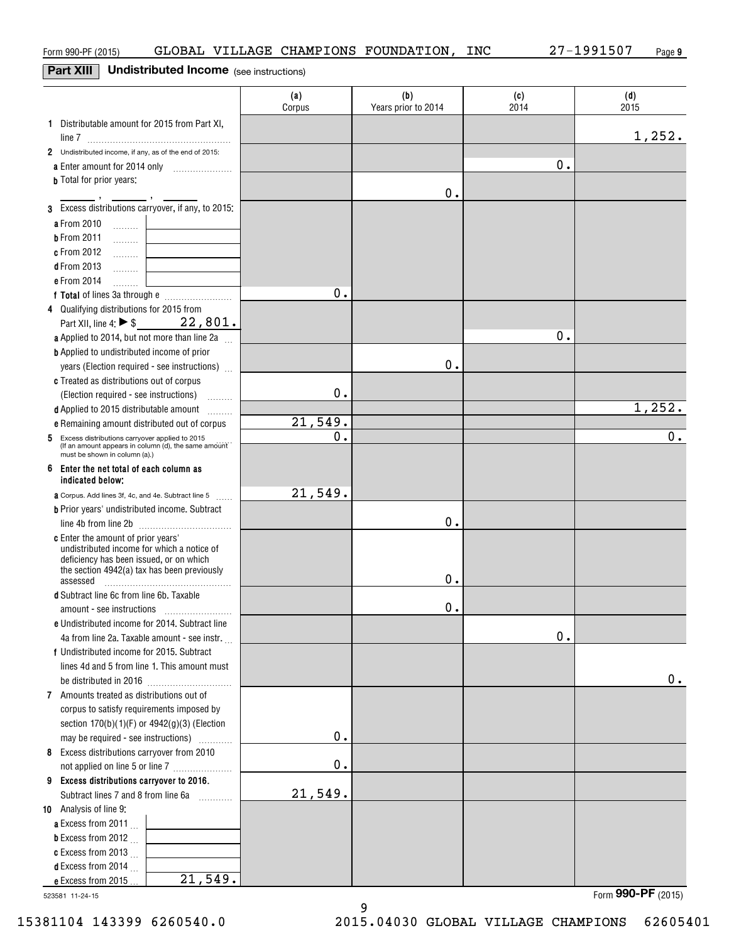### **Part XIII** I **Undistributed Income** (see instructions) **Part XIII Undistributed Income** (see instructions)

|                                                                                       | (a)<br>Corpus | (b)<br>Years prior to 2014 | (c)<br>2014 | (d)<br>2015 |
|---------------------------------------------------------------------------------------|---------------|----------------------------|-------------|-------------|
| 1 Distributable amount for 2015 from Part XI,                                         |               |                            |             | 1,252.      |
| 2 Undistributed income, if any, as of the end of 2015:                                |               |                            |             |             |
| a Enter amount for 2014 only<br>$\overline{\phantom{a}}$                              |               |                            | 0.          |             |
| <b>b</b> Total for prior years:                                                       |               |                            |             |             |
| 3 Excess distributions carryover, if any, to 2015:                                    |               | 0.                         |             |             |
| a From 2010                                                                           |               |                            |             |             |
| المستنب<br><b>b</b> From 2011                                                         |               |                            |             |             |
| .<br>c From 2012                                                                      |               |                            |             |             |
| $\ldots \ldots \ldots$<br><b>d</b> From 2013                                          |               |                            |             |             |
| .<br>e From 2014                                                                      |               |                            |             |             |
| .                                                                                     | 0.            |                            |             |             |
| 4 Qualifying distributions for 2015 from                                              |               |                            |             |             |
| Part XII, line 4: $\triangleright$ \$ 22, 801.                                        |               |                            |             |             |
| <b>a</b> Applied to 2014, but not more than line 2a $\ldots$                          |               |                            | 0.          |             |
| <b>b</b> Applied to undistributed income of prior                                     |               |                            |             |             |
| years (Election required - see instructions)                                          |               | 0.                         |             |             |
| c Treated as distributions out of corpus                                              |               |                            |             |             |
| (Election required - see instructions)                                                | 0.            |                            |             |             |
| d Applied to 2015 distributable amount<br>.                                           |               |                            |             | 1,252.      |
| e Remaining amount distributed out of corpus                                          | 21,549.       |                            |             |             |
| 5 Excess distributions carryover applied to 2015                                      | 0.            |                            |             | 0.          |
| (If an amount appears in column (d), the same amount<br>must be shown in column (a).) |               |                            |             |             |
| 6 Enter the net total of each column as<br>indicated below:                           |               |                            |             |             |
| <b>a</b> Corpus. Add lines 3f, 4c, and 4e. Subtract line 5                            | 21,549.       |                            |             |             |
| <b>b</b> Prior years' undistributed income. Subtract                                  |               |                            |             |             |
|                                                                                       |               | 0.                         |             |             |
| c Enter the amount of prior years'                                                    |               |                            |             |             |
| undistributed income for which a notice of<br>deficiency has been issued, or on which |               |                            |             |             |
| the section 4942(a) tax has been previously                                           |               |                            |             |             |
| assessed                                                                              |               | 0.                         |             |             |
| d Subtract line 6c from line 6b. Taxable                                              |               |                            |             |             |
|                                                                                       |               | 0.                         |             |             |
| e Undistributed income for 2014. Subtract line                                        |               |                            |             |             |
| 4a from line 2a. Taxable amount - see instr                                           |               |                            | $0$ .       |             |
| f Undistributed income for 2015. Subtract                                             |               |                            |             |             |
| lines 4d and 5 from line 1. This amount must                                          |               |                            |             | 0.          |
| 7 Amounts treated as distributions out of                                             |               |                            |             |             |
| corpus to satisfy requirements imposed by                                             |               |                            |             |             |
| section $170(b)(1)(F)$ or $4942(g)(3)$ (Election                                      |               |                            |             |             |
| may be required - see instructions)<br>.                                              | 0.            |                            |             |             |
| 8 Excess distributions carryover from 2010                                            |               |                            |             |             |
| not applied on line 5 or line 7                                                       | 0.            |                            |             |             |
| 9 Excess distributions carryover to 2016.                                             |               |                            |             |             |
| Subtract lines 7 and 8 from line 6a                                                   | 21,549.       |                            |             |             |
| 10 Analysis of line 9:                                                                |               |                            |             |             |
| a Excess from 2011.                                                                   |               |                            |             |             |
| <b>b</b> Excess from 2012 $\ldots$                                                    |               |                            |             |             |
| c Excess from 2013 $\ldots$                                                           |               |                            |             |             |
| <b>d</b> Excess from 2014                                                             |               |                            |             |             |
| 21,549.<br>e Excess from 2015.                                                        |               |                            |             |             |

9 9

523581 11-24-15 523581 11-24-15

Form **990-PF** ( <sup>2015</sup>) Form (2015) **990-PF**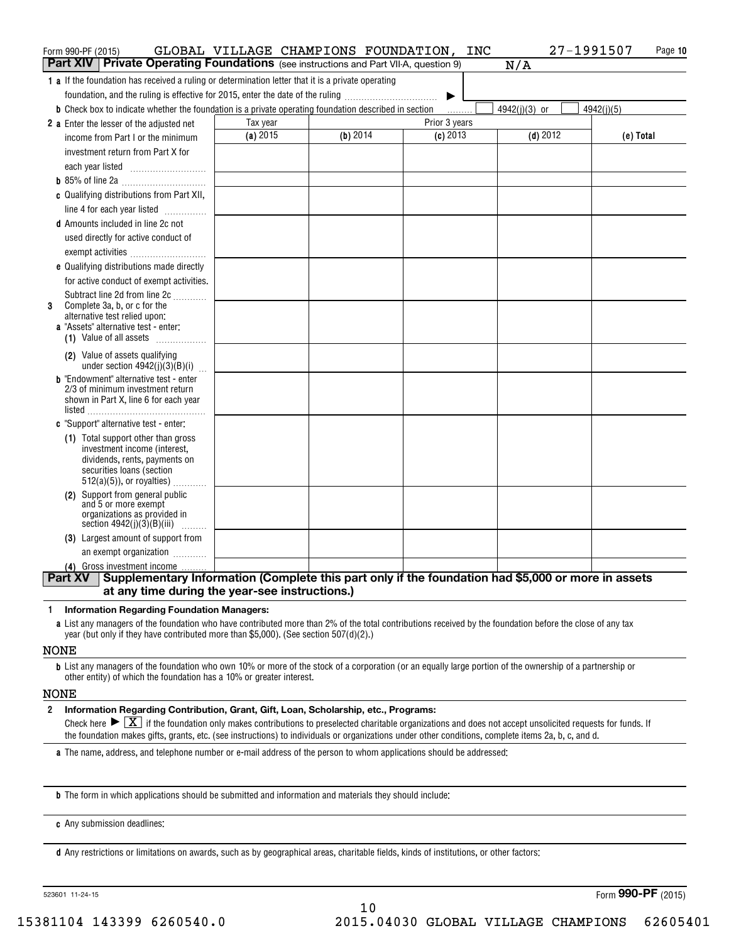| Form 990-PF (2015)                                                                                                                                  | GLOBAL VILLAGE CHAMPIONS FOUNDATION, INC |          |               | 27-1991507    | Page 10    |
|-----------------------------------------------------------------------------------------------------------------------------------------------------|------------------------------------------|----------|---------------|---------------|------------|
| <b>Part XIV Private Operating Foundations</b> (see instructions and Part VII-A, question 9)                                                         |                                          |          |               | N/A           |            |
| <b>1</b> a If the foundation has received a ruling or determination letter that it is a private operating                                           |                                          |          |               |               |            |
| foundation, and the ruling is effective for 2015, enter the date of the ruling                                                                      |                                          |          |               |               |            |
| <b>b</b> Check box to indicate whether the foundation is a private operating foundation described in section                                        |                                          |          |               | 4942(j)(3) or | 4942(j)(5) |
| <b>2</b> a Enter the lesser of the adjusted net                                                                                                     | Tax year                                 |          | Prior 3 years |               |            |
| income from Part I or the minimum                                                                                                                   | (a) 2015                                 | (b) 2014 | $(c)$ 2013    | $(d)$ 2012    | (e) Total  |
| investment return from Part X for                                                                                                                   |                                          |          |               |               |            |
| each year listed                                                                                                                                    |                                          |          |               |               |            |
|                                                                                                                                                     |                                          |          |               |               |            |
| c Qualifying distributions from Part XII,                                                                                                           |                                          |          |               |               |            |
| line 4 for each year listed                                                                                                                         |                                          |          |               |               |            |
| <b>d</b> Amounts included in line 2c not                                                                                                            |                                          |          |               |               |            |
| used directly for active conduct of                                                                                                                 |                                          |          |               |               |            |
| exempt activities<br>e Qualifying distributions made directly                                                                                       |                                          |          |               |               |            |
| for active conduct of exempt activities.                                                                                                            |                                          |          |               |               |            |
| Subtract line 2d from line 2c                                                                                                                       |                                          |          |               |               |            |
| Complete 3a, b, or c for the<br>3                                                                                                                   |                                          |          |               |               |            |
| alternative test relied upon:                                                                                                                       |                                          |          |               |               |            |
| <b>a</b> "Assets" alternative test - enter:<br>(1) Value of all assets $\ldots$                                                                     |                                          |          |               |               |            |
| (2) Value of assets qualifying                                                                                                                      |                                          |          |               |               |            |
| under section $4942(j)(3)(B)(i)$                                                                                                                    |                                          |          |               |               |            |
| <b>b</b> "Endowment" alternative test - enter                                                                                                       |                                          |          |               |               |            |
| 2/3 of minimum investment return<br>shown in Part X, line 6 for each year                                                                           |                                          |          |               |               |            |
|                                                                                                                                                     |                                          |          |               |               |            |
| c "Support" alternative test - enter:                                                                                                               |                                          |          |               |               |            |
| (1) Total support other than gross                                                                                                                  |                                          |          |               |               |            |
| investment income (interest,<br>dividends, rents, payments on                                                                                       |                                          |          |               |               |            |
| securities loans (section                                                                                                                           |                                          |          |               |               |            |
| $512(a)(5)$ , or royalties)                                                                                                                         |                                          |          |               |               |            |
| (2) Support from general public<br>and 5 or more exempt                                                                                             |                                          |          |               |               |            |
| organizations as provided in                                                                                                                        |                                          |          |               |               |            |
| section $4942(j)(3)(B)(iii)$                                                                                                                        |                                          |          |               |               |            |
| (3) Largest amount of support from                                                                                                                  |                                          |          |               |               |            |
| an exempt organization                                                                                                                              |                                          |          |               |               |            |
| (4) Gross investment income<br>Supplementary Information (Complete this part only if the foundation had \$5,000 or more in assets<br><b>Part XV</b> |                                          |          |               |               |            |
| at any time during the year-see instructions.)                                                                                                      |                                          |          |               |               |            |

#### **<sup>1</sup>Information Regarding Foundation Managers: Information Regarding Foundation Managers: 1**

a List any managers of the foundation who have contributed more than 2% of the total contributions received by the foundation before the close of any tax year (but only if they have contributed more than \$<sup>5</sup> , <sup>000</sup>). (See section 507(d)(2 ).) year (but only if they have contributed more than \$5,000). (See section 507(d)(2).)

### NONE NONE

**b** List any managers of the foundation who own 10% or more of the stock of a corporation (or an equally large portion of the ownership of a partnership or other entity) of which the foundation has a 10% or greater interest. other entity) of which the foundation has a 10% or greater interest.

### NONE NONE

**<sup>2</sup>Information Regarding Contribution, Grant, Gift, Loan, Scholarship, etc., Programs: Information Regarding Contribution, Grant, Gift, Loan, Scholarship, etc., Programs:** Check here  $\blacktriangleright \boxed{\underline{X}}$  if the foundation only makes contributions to preselected charitable organizations and does not accept unsolicited requests for funds. If the foundation makes gifts, grants, etc. (see instructions) to individuals or organizations under other conditions, complete items 2a, b, c, and d. **2**

a The name, address, and telephone number or e-mail address of the person to whom applications should be addressed:

**b** The form in which applications should be submitted and information and materials they should include:

**c** Any submission deadlines: **c**Any submission deadlines:

**d** Any restrictions or limitations on awards, such as by geographical areas, charitable fields, kinds of institutions, or other factors:

523601 11-24-15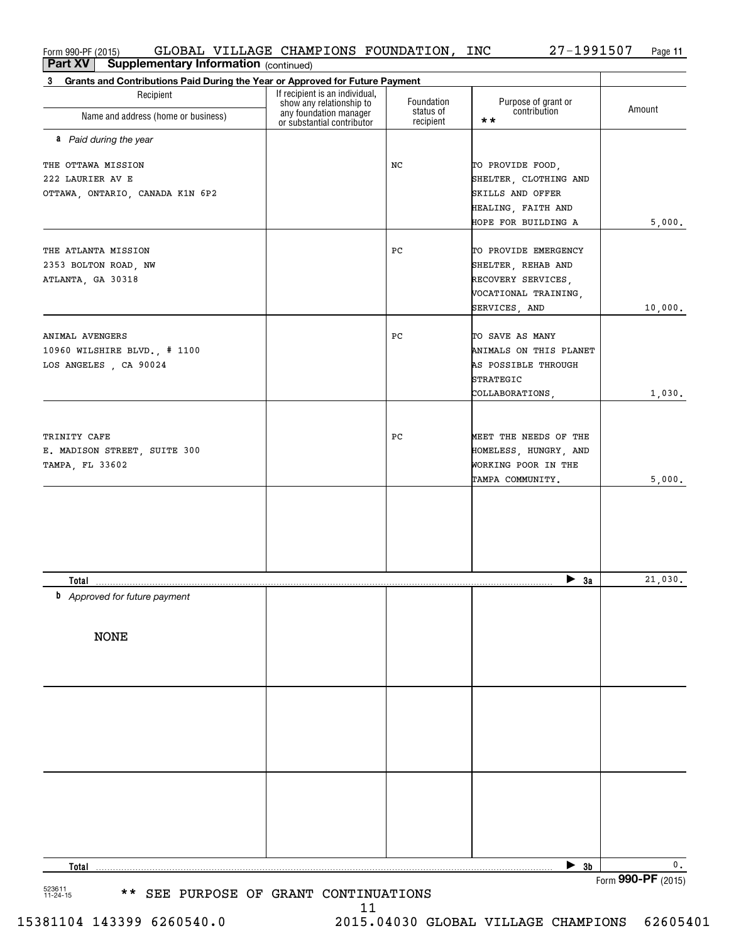Form990-PF(2015) GLOBAL VILLAGE CHAMPIONS FOUNDATION, INC 27-1991507 Page **<sup>11</sup>**  $_{\rm Form}$ 990-PF (2015) GLOBAL VILLAGE CHAMPIONS FOUNDATION, INC 27-1991507 Page GLOBAL VILLAGE CHAMPIONS FOUNDATION, INC 27-1991507

**11**

| Part XV<br><b>Supplementary Information (continued)</b>                                     |                                                                                      |                         |                                                     |         |
|---------------------------------------------------------------------------------------------|--------------------------------------------------------------------------------------|-------------------------|-----------------------------------------------------|---------|
| Grants and Contributions Paid During the Year or Approved for Future Payment<br>$3^{\circ}$ |                                                                                      |                         |                                                     |         |
| Recipient<br>Name and address (home or business)                                            | If recipient is an individual,<br>show any relationship to<br>any foundation manager | Foundation<br>status of | Purpose of grant or<br>contribution<br>$\star\star$ | Amount  |
|                                                                                             | or substantial contributor                                                           | recipient               |                                                     |         |
| a Paid during the year                                                                      |                                                                                      |                         |                                                     |         |
| THE OTTAWA MISSION                                                                          |                                                                                      | NC                      | TO PROVIDE FOOD,                                    |         |
| 222 LAURIER AV E                                                                            |                                                                                      |                         | SHELTER, CLOTHING AND                               |         |
| OTTAWA, ONTARIO, CANADA K1N 6P2                                                             |                                                                                      |                         | SKILLS AND OFFER                                    |         |
|                                                                                             |                                                                                      |                         | HEALING, FAITH AND                                  |         |
|                                                                                             |                                                                                      |                         | HOPE FOR BUILDING A                                 | 5,000.  |
| THE ATLANTA MISSION                                                                         |                                                                                      | PC                      | TO PROVIDE EMERGENCY                                |         |
| 2353 BOLTON ROAD, NW                                                                        |                                                                                      |                         | SHELTER, REHAB AND                                  |         |
| ATLANTA, GA 30318                                                                           |                                                                                      |                         | RECOVERY SERVICES,                                  |         |
|                                                                                             |                                                                                      |                         | VOCATIONAL TRAINING,                                |         |
|                                                                                             |                                                                                      |                         | SERVICES, AND                                       | 10,000. |
|                                                                                             |                                                                                      |                         |                                                     |         |
| ANIMAL AVENGERS                                                                             |                                                                                      | PC                      | TO SAVE AS MANY                                     |         |
| 10960 WILSHIRE BLVD., # 1100                                                                |                                                                                      |                         | ANIMALS ON THIS PLANET                              |         |
| LOS ANGELES, CA 90024                                                                       |                                                                                      |                         | AS POSSIBLE THROUGH<br>STRATEGIC                    |         |
|                                                                                             |                                                                                      |                         | COLLABORATIONS,                                     | 1,030.  |
|                                                                                             |                                                                                      |                         |                                                     |         |
|                                                                                             |                                                                                      |                         |                                                     |         |
| TRINITY CAFE                                                                                |                                                                                      | PC                      | MEET THE NEEDS OF THE                               |         |
| E. MADISON STREET, SUITE 300                                                                |                                                                                      |                         | HOMELESS, HUNGRY, AND                               |         |
| TAMPA, FL 33602                                                                             |                                                                                      |                         | WORKING POOR IN THE                                 |         |
|                                                                                             |                                                                                      |                         | TAMPA COMMUNITY.                                    | 5,000.  |
|                                                                                             |                                                                                      |                         |                                                     |         |
|                                                                                             |                                                                                      |                         |                                                     |         |
|                                                                                             |                                                                                      |                         |                                                     |         |
|                                                                                             |                                                                                      |                         |                                                     |         |
| Total                                                                                       |                                                                                      |                         | $\blacktriangleright$ 3a                            | 21,030. |
| b<br>Approved for future payment                                                            |                                                                                      |                         |                                                     |         |
|                                                                                             |                                                                                      |                         |                                                     |         |
|                                                                                             |                                                                                      |                         |                                                     |         |
| <b>NONE</b>                                                                                 |                                                                                      |                         |                                                     |         |
|                                                                                             |                                                                                      |                         |                                                     |         |
|                                                                                             |                                                                                      |                         |                                                     |         |
|                                                                                             |                                                                                      |                         |                                                     |         |
|                                                                                             |                                                                                      |                         |                                                     |         |
|                                                                                             |                                                                                      |                         |                                                     |         |
|                                                                                             |                                                                                      |                         |                                                     |         |
|                                                                                             |                                                                                      |                         |                                                     |         |
|                                                                                             |                                                                                      |                         |                                                     |         |
|                                                                                             |                                                                                      |                         |                                                     |         |
|                                                                                             |                                                                                      |                         |                                                     |         |
|                                                                                             |                                                                                      |                         |                                                     |         |
|                                                                                             |                                                                                      |                         |                                                     |         |
|                                                                                             |                                                                                      |                         | $\blacktriangleright$ 3b                            | 0.      |
| <b>Total</b>                                                                                |                                                                                      |                         |                                                     |         |

15381104 143399 6260540.0 2015.04030 GLOBAL VILLAGE CHAMPIONS 62605401 15381104 143399 6260540.0 2015.04030 GLOBAL VILLAGE CHAMPIONS 62605401

11 11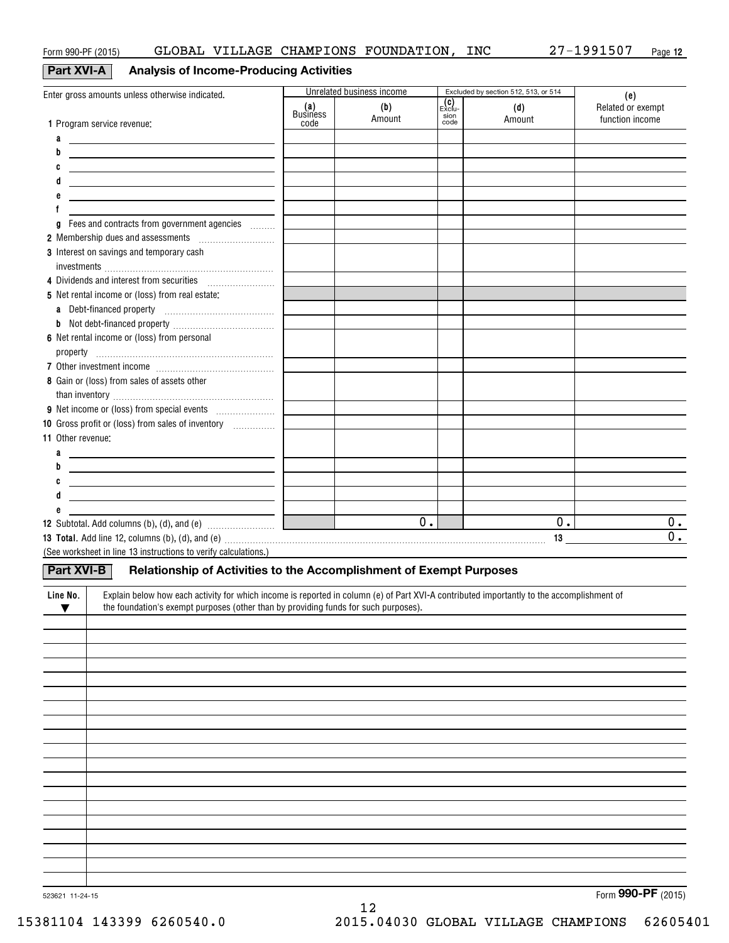# **Part XVI-A** Analysis of Income-Producing Activities

|                                                                                                                                                                                                                                           |                                | Unrelated business income |                                  | Excluded by section 512, 513, or 514 |                                             |
|-------------------------------------------------------------------------------------------------------------------------------------------------------------------------------------------------------------------------------------------|--------------------------------|---------------------------|----------------------------------|--------------------------------------|---------------------------------------------|
| Enter gross amounts unless otherwise indicated.<br>1 Program service revenue:                                                                                                                                                             | (a)<br><b>Business</b><br>code | (b)<br>Amount             | $\mathsf{Exclu}$<br>sion<br>code | (d)<br>Amount                        | (e)<br>Related or exempt<br>function income |
| a                                                                                                                                                                                                                                         |                                |                           |                                  |                                      |                                             |
| <u>and the contract of the contract of the contract of the contract of the contract of the contract of the contract of the contract of the contract of the contract of the contract of the contract of the contract of the contr</u><br>b |                                |                           |                                  |                                      |                                             |
| C                                                                                                                                                                                                                                         |                                |                           |                                  |                                      |                                             |
| <u> 1980 - Jan Samuel Barbara, margaret eta idazlea (h. 1980).</u><br><u> 1980 - Jan Sterner, amerikansk politiker (</u>                                                                                                                  |                                |                           |                                  |                                      |                                             |
| e<br><u> 1989 - Johann Harry Harry Harry Harry Harry Harry Harry Harry Harry Harry Harry Harry Harry Harry Harry Harry</u>                                                                                                                |                                |                           |                                  |                                      |                                             |
|                                                                                                                                                                                                                                           |                                |                           |                                  |                                      |                                             |
| Fees and contracts from government agencies<br>g                                                                                                                                                                                          |                                |                           |                                  |                                      |                                             |
| 2 Membership dues and assessments [111] Membership dues and assessments                                                                                                                                                                   |                                |                           |                                  |                                      |                                             |
| 3 Interest on savings and temporary cash                                                                                                                                                                                                  |                                |                           |                                  |                                      |                                             |
|                                                                                                                                                                                                                                           |                                |                           |                                  |                                      |                                             |
| 4 Dividends and interest from securities [111] [11] Dividends and interest from securities                                                                                                                                                |                                |                           |                                  |                                      |                                             |
| 5 Net rental income or (loss) from real estate:                                                                                                                                                                                           |                                |                           |                                  |                                      |                                             |
|                                                                                                                                                                                                                                           |                                |                           |                                  |                                      |                                             |
|                                                                                                                                                                                                                                           |                                |                           |                                  |                                      |                                             |
| 6 Net rental income or (loss) from personal                                                                                                                                                                                               |                                |                           |                                  |                                      |                                             |
|                                                                                                                                                                                                                                           |                                |                           |                                  |                                      |                                             |
|                                                                                                                                                                                                                                           |                                |                           |                                  |                                      |                                             |
| 8 Gain or (loss) from sales of assets other                                                                                                                                                                                               |                                |                           |                                  |                                      |                                             |
|                                                                                                                                                                                                                                           |                                |                           |                                  |                                      |                                             |
|                                                                                                                                                                                                                                           |                                |                           |                                  |                                      |                                             |
| 10 Gross profit or (loss) from sales of inventory                                                                                                                                                                                         |                                |                           |                                  |                                      |                                             |
| 11 Other revenue:                                                                                                                                                                                                                         |                                |                           |                                  |                                      |                                             |
| a<br><u> 1980 - Andrea Andrew Maria (h. 1980).</u>                                                                                                                                                                                        |                                |                           |                                  |                                      |                                             |
| b<br><u> 1989 - Andrea Aonaichte, ann an t-Èireann an t-Èireann an t-Èireann an t-Èireann an t-Èireann an t-Èireann an </u>                                                                                                               |                                |                           |                                  |                                      |                                             |
| C<br><u> 1980 - Andrea Andrew Maria (h. 1980).</u><br>d                                                                                                                                                                                   |                                |                           |                                  |                                      |                                             |
| <u> 1989 - Andrea State Barbara, amerikan personal di personal dengan personal dengan personal dengan personal de</u><br>е                                                                                                                |                                |                           |                                  |                                      |                                             |
| <u> 1989 - Alexandr Alexandr III, prima postala prima prima prima prima prima prima prima prima prima prima prim</u>                                                                                                                      |                                | 0.                        |                                  | 0.                                   | 0.                                          |
| 13 Total. Add line 12, columns (b), (d), and (e) material contracts and contained a series and a series of the series of the series of the series of the series of the series of the series of the series of the series of the            |                                |                           |                                  |                                      | $\overline{0}$ .                            |
| (See worksheet in line 13 instructions to verify calculations.)                                                                                                                                                                           |                                |                           |                                  |                                      |                                             |
|                                                                                                                                                                                                                                           |                                |                           |                                  |                                      |                                             |
| Relationship of Activities to the Accomplishment of Exempt Purposes<br><b>Part XVI-B</b>                                                                                                                                                  |                                |                           |                                  |                                      |                                             |
| Explain below how each activity for which income is reported in column (e) of Part XVI-A contributed importantly to the accomplishment of<br>Line No.                                                                                     |                                |                           |                                  |                                      |                                             |
| the foundation's exempt purposes (other than by providing funds for such purposes).<br>▼                                                                                                                                                  |                                |                           |                                  |                                      |                                             |
|                                                                                                                                                                                                                                           |                                |                           |                                  |                                      |                                             |
|                                                                                                                                                                                                                                           |                                |                           |                                  |                                      |                                             |
|                                                                                                                                                                                                                                           |                                |                           |                                  |                                      |                                             |
|                                                                                                                                                                                                                                           |                                |                           |                                  |                                      |                                             |
|                                                                                                                                                                                                                                           |                                |                           |                                  |                                      |                                             |
|                                                                                                                                                                                                                                           |                                |                           |                                  |                                      |                                             |
|                                                                                                                                                                                                                                           |                                |                           |                                  |                                      |                                             |
|                                                                                                                                                                                                                                           |                                |                           |                                  |                                      |                                             |
|                                                                                                                                                                                                                                           |                                |                           |                                  |                                      |                                             |
|                                                                                                                                                                                                                                           |                                |                           |                                  |                                      |                                             |
|                                                                                                                                                                                                                                           |                                |                           |                                  |                                      |                                             |
|                                                                                                                                                                                                                                           |                                |                           |                                  |                                      |                                             |
|                                                                                                                                                                                                                                           |                                |                           |                                  |                                      |                                             |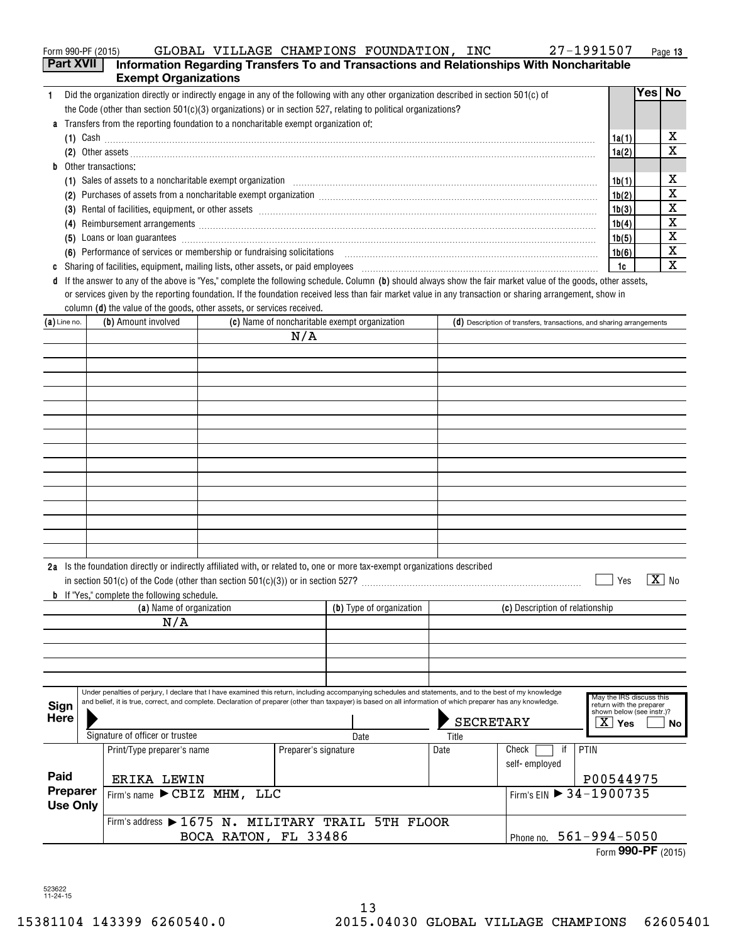|  | Form 990-PF (2015) | GLOBAL | VILLAGE | CHAMPIONS | FOUNDATION | INC | 1991507<br>רי ר | Page 13 |
|--|--------------------|--------|---------|-----------|------------|-----|-----------------|---------|
|--|--------------------|--------|---------|-----------|------------|-----|-----------------|---------|

|                | Part XVII       | <b>Exempt Organizations</b>                                                        |                      |                      | Information Regarding Transfers To and Transactions and Relationships With Noncharitable                                                                                                                                            |                  |                                                                      |                                                                                   |                  |              |
|----------------|-----------------|------------------------------------------------------------------------------------|----------------------|----------------------|-------------------------------------------------------------------------------------------------------------------------------------------------------------------------------------------------------------------------------------|------------------|----------------------------------------------------------------------|-----------------------------------------------------------------------------------|------------------|--------------|
| 1.             |                 |                                                                                    |                      |                      | Did the organization directly or indirectly engage in any of the following with any other organization described in section 501(c) of                                                                                               |                  |                                                                      |                                                                                   | Yes <sub>1</sub> | No           |
|                |                 |                                                                                    |                      |                      | the Code (other than section $501(c)(3)$ organizations) or in section 527, relating to political organizations?                                                                                                                     |                  |                                                                      |                                                                                   |                  |              |
|                |                 | Transfers from the reporting foundation to a noncharitable exempt organization of: |                      |                      |                                                                                                                                                                                                                                     |                  |                                                                      |                                                                                   |                  |              |
|                |                 |                                                                                    |                      |                      | $(1)$ Cash                                                                                                                                                                                                                          |                  |                                                                      | 1a(1)                                                                             |                  | х            |
|                |                 |                                                                                    |                      |                      | (2) Other assets <b>construction and construction of the construction</b> of the construction of the construction of the construction of the construction of the construction of the construction of the construction of the constr |                  |                                                                      | 1a(2)                                                                             |                  | X            |
|                |                 | <b>b</b> Other transactions:                                                       |                      |                      |                                                                                                                                                                                                                                     |                  |                                                                      |                                                                                   |                  |              |
|                |                 |                                                                                    |                      |                      | (1) Sales of assets to a noncharitable exempt organization manufactured contains and a set of assets to a noncharitable exempt organization                                                                                         |                  |                                                                      | 1b(1)                                                                             |                  | х            |
|                |                 |                                                                                    |                      |                      |                                                                                                                                                                                                                                     |                  |                                                                      | 1b(2)                                                                             |                  | X            |
|                |                 |                                                                                    |                      |                      | (3) Rental of facilities, equipment, or other assets [1] processes [1] processes [2] Rental of facilities, equipment, or other assets [1] processes [2] processes [2] and [2] also [2] also [2] also [2] also [2] also [2] als      |                  |                                                                      | 1b(3)                                                                             |                  | x            |
|                |                 |                                                                                    |                      |                      |                                                                                                                                                                                                                                     |                  |                                                                      | 1b(4)                                                                             |                  | x            |
|                |                 |                                                                                    |                      |                      | (5) Loans or loan guarantees <i>machines</i> and consumer an analysis of the consumer and consumer and consumer and consumer and consumer and consumer and consumer and consumer and consumer and consumer and consumer and consume |                  |                                                                      | 1b(5)                                                                             |                  | x            |
|                |                 |                                                                                    |                      |                      | (6) Performance of services or membership or fundraising solicitations [11] manufactures and continuum contract of services or membership or fundraising solicitations [11] manufactures and the Performance of Services and T      |                  |                                                                      | 1b(6)                                                                             |                  | X            |
|                |                 |                                                                                    |                      |                      |                                                                                                                                                                                                                                     |                  |                                                                      | 1c                                                                                |                  | X            |
|                |                 |                                                                                    |                      |                      | If the answer to any of the above is "Yes," complete the following schedule. Column (b) should always show the fair market value of the goods, other assets,                                                                        |                  |                                                                      |                                                                                   |                  |              |
|                |                 |                                                                                    |                      |                      | or services given by the reporting foundation. If the foundation received less than fair market value in any transaction or sharing arrangement, show in                                                                            |                  |                                                                      |                                                                                   |                  |              |
|                |                 | column (d) the value of the goods, other assets, or services received.             |                      |                      |                                                                                                                                                                                                                                     |                  |                                                                      |                                                                                   |                  |              |
| $(a)$ Line no. |                 | (b) Amount involved                                                                |                      |                      | (c) Name of noncharitable exempt organization                                                                                                                                                                                       |                  | (d) Description of transfers, transactions, and sharing arrangements |                                                                                   |                  |              |
|                |                 |                                                                                    |                      | N/A                  |                                                                                                                                                                                                                                     |                  |                                                                      |                                                                                   |                  |              |
|                |                 |                                                                                    |                      |                      |                                                                                                                                                                                                                                     |                  |                                                                      |                                                                                   |                  |              |
|                |                 |                                                                                    |                      |                      |                                                                                                                                                                                                                                     |                  |                                                                      |                                                                                   |                  |              |
|                |                 |                                                                                    |                      |                      |                                                                                                                                                                                                                                     |                  |                                                                      |                                                                                   |                  |              |
|                |                 |                                                                                    |                      |                      |                                                                                                                                                                                                                                     |                  |                                                                      |                                                                                   |                  |              |
|                |                 |                                                                                    |                      |                      |                                                                                                                                                                                                                                     |                  |                                                                      |                                                                                   |                  |              |
|                |                 |                                                                                    |                      |                      |                                                                                                                                                                                                                                     |                  |                                                                      |                                                                                   |                  |              |
|                |                 |                                                                                    |                      |                      |                                                                                                                                                                                                                                     |                  |                                                                      |                                                                                   |                  |              |
|                |                 |                                                                                    |                      |                      |                                                                                                                                                                                                                                     |                  |                                                                      |                                                                                   |                  |              |
|                |                 |                                                                                    |                      |                      |                                                                                                                                                                                                                                     |                  |                                                                      |                                                                                   |                  |              |
|                |                 |                                                                                    |                      |                      |                                                                                                                                                                                                                                     |                  |                                                                      |                                                                                   |                  |              |
|                |                 |                                                                                    |                      |                      |                                                                                                                                                                                                                                     |                  |                                                                      |                                                                                   |                  |              |
|                |                 |                                                                                    |                      |                      |                                                                                                                                                                                                                                     |                  |                                                                      |                                                                                   |                  |              |
|                |                 |                                                                                    |                      |                      |                                                                                                                                                                                                                                     |                  |                                                                      |                                                                                   |                  |              |
|                |                 |                                                                                    |                      |                      |                                                                                                                                                                                                                                     |                  |                                                                      |                                                                                   |                  |              |
|                |                 |                                                                                    |                      |                      |                                                                                                                                                                                                                                     |                  |                                                                      |                                                                                   |                  |              |
|                |                 |                                                                                    |                      |                      | 2a Is the foundation directly or indirectly affiliated with, or related to, one or more tax-exempt organizations described                                                                                                          |                  |                                                                      |                                                                                   |                  |              |
|                |                 |                                                                                    |                      |                      |                                                                                                                                                                                                                                     |                  |                                                                      | Yes                                                                               |                  | $X_{\geq 0}$ |
|                |                 | If "Yes," complete the following schedule.                                         |                      |                      |                                                                                                                                                                                                                                     |                  |                                                                      |                                                                                   |                  |              |
|                |                 | (a) Name of organization                                                           |                      |                      | (b) Type of organization                                                                                                                                                                                                            |                  | (c) Description of relationship                                      |                                                                                   |                  |              |
|                |                 | N/A                                                                                |                      |                      |                                                                                                                                                                                                                                     |                  |                                                                      |                                                                                   |                  |              |
|                |                 |                                                                                    |                      |                      |                                                                                                                                                                                                                                     |                  |                                                                      |                                                                                   |                  |              |
|                |                 |                                                                                    |                      |                      |                                                                                                                                                                                                                                     |                  |                                                                      |                                                                                   |                  |              |
|                |                 |                                                                                    |                      |                      |                                                                                                                                                                                                                                     |                  |                                                                      |                                                                                   |                  |              |
|                |                 |                                                                                    |                      |                      |                                                                                                                                                                                                                                     |                  |                                                                      |                                                                                   |                  |              |
|                |                 |                                                                                    |                      |                      | Under penalties of perjury, I declare that I have examined this return, including accompanying schedules and statements, and to the best of my knowledge                                                                            |                  |                                                                      |                                                                                   |                  |              |
| Sign           |                 |                                                                                    |                      |                      | and belief, it is true, correct, and complete. Declaration of preparer (other than taxpayer) is based on all information of which preparer has any knowledge.                                                                       |                  |                                                                      | May the IRS discuss this<br>return with the preparer<br>shown below (see instr.)? |                  |              |
| <b>Here</b>    |                 |                                                                                    |                      |                      |                                                                                                                                                                                                                                     | <b>SECRETARY</b> |                                                                      | $X \mid Y_{\text{es}}$                                                            |                  | No.          |
|                |                 | Signature of officer or trustee                                                    |                      |                      | Date                                                                                                                                                                                                                                | Title            |                                                                      |                                                                                   |                  |              |
|                |                 | Print/Type preparer's name                                                         |                      | Preparer's signature |                                                                                                                                                                                                                                     | Date             | Check<br>PTIN<br>if                                                  |                                                                                   |                  |              |
|                |                 |                                                                                    |                      |                      |                                                                                                                                                                                                                                     |                  | self-employed                                                        |                                                                                   |                  |              |
| Paid           |                 | ERIKA LEWIN                                                                        |                      |                      |                                                                                                                                                                                                                                     |                  |                                                                      | P00544975                                                                         |                  |              |
|                | Preparer        | Firm's name $\blacktriangleright$ CBIZ MHM,                                        | LLC                  |                      |                                                                                                                                                                                                                                     |                  | Firm's EIN 34-1900735                                                |                                                                                   |                  |              |
|                | <b>Use Only</b> |                                                                                    |                      |                      |                                                                                                                                                                                                                                     |                  |                                                                      |                                                                                   |                  |              |
|                |                 |                                                                                    |                      |                      | Firm's address > 1675 N. MILITARY TRAIL 5TH FLOOR                                                                                                                                                                                   |                  |                                                                      |                                                                                   |                  |              |
|                |                 |                                                                                    | BOCA RATON, FL 33486 |                      |                                                                                                                                                                                                                                     |                  | Phone no. 561-994-5050                                               |                                                                                   |                  |              |

523622 11-24-15 523622 11-24-15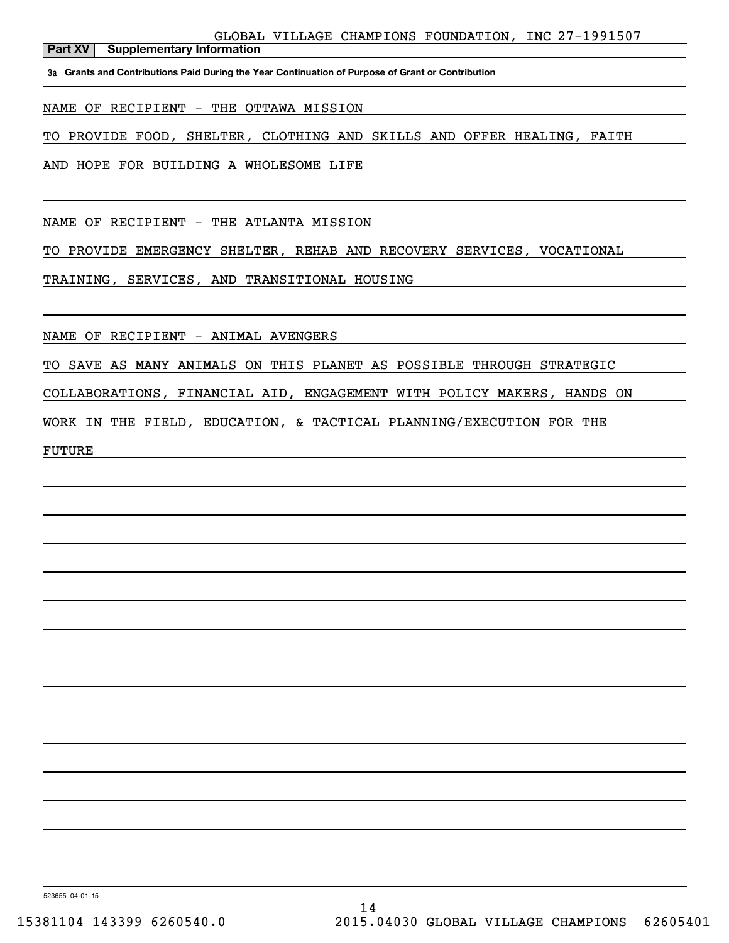GLOBAL VILLAGE CHAMPIONS FOUNDATION, INC 27-1991507 GLOBAL VILLAGE CHAMPIONS FOUNDATION, INC 27-1991507

**Part XV** Supplementary Information

3a Grants and Contributions Paid During the Year Continuation of Purpose of Grant or Contribution

NAME OF RECIPIENT - THE OTTAWA MISSION NAME OF RECIPIENT - THE OTTAWA MISSION

TO PROVIDE FOOD, SHELTER, CLOTHING AND SKILLS AND OFFER HEALING, FAITH TO PROVIDE FOOD, SHELTER, CLOTHING AND SKILLS AND OFFER HEALING, FAITH

AND HOPE FOR BUILDING A WHOLESOME LIFE AND HOPE FOR BUILDING A WHOLESOME LIFE

NAME OF RECIPIENT - THE ATLANTA MISSION NAME OF RECIPIENT - THE ATLANTA MISSION

TO PROVIDE EMERGENCY SHELTER, REHAB AND RECOVERY SERVICES, VOCATIONAL TO PROVIDE EMERGENCY SHELTER, REHAB AND RECOVERY SERVICES, VOCATIONAL

TRAINING, SERVICES, AND TRANSITIONAL HOUSING TRAINING, SERVICES, AND TRANSITIONAL HOUSING

NAME OF RECIPIENT - ANIMAL AVENGERS NAME OF RECIPIENT - ANIMAL AVENGERS

TO SAVE AS MANY ANIMALS ON THIS PLANET AS POSSIBLE THROUGH STRATEGIC TO SAVE AS MANY ANIMALS ON THIS PLANET AS POSSIBLE THROUGH STRATEGIC

COLLABORATIONS, FINANCIAL AID, ENGAGEMENT WITH POLICY MAKERS, HANDS ON COLLABORATIONS, FINANCIAL AID, ENGAGEMENT WITH POLICY MAKERS, HANDS ON

WORK IN THE FIELD, EDUCATION, & TACTICAL PLANNING/EXECUTION FOR THE WORK IN THE FIELD, EDUCATION, & TACTICAL PLANNING/EXECUTION FOR THE

FUTURE FUTURE

523655 04-01-15 523655 04-01-15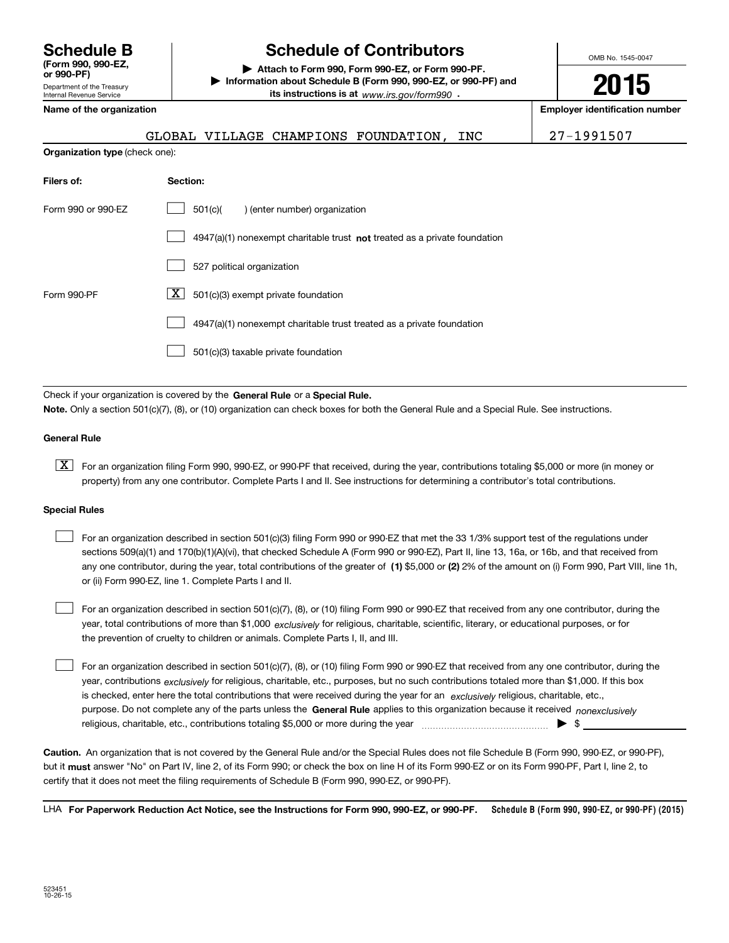**Schedule B (Form 990 , 990-EZ, (Form 990, 990-EZ, or 990-PF) or 990-PF)** Department of the Treasury Department of the Treasury Internal Revenue Service Internal Revenue Service

# **Schedule of Contributors Schedule B Schedule of Contributors**

**| Attach to Form 990, Form 990-EZ, or Form 990-PF. | Attach to Form 990, Form 990-EZ, or Form 990-PF. | Information about Schedule B (Form 990 , 990-EZ, or 990-PF) and | Information about Schedule B (Form 990, 990-EZ, or 990-PF) and its instructions is at** www.irs.gov/form990  $\cdot$ 

**Name of the organization Employer identification number Name of the organization Employer identification number**

**Organization type** (check one): **Organization type** (check one):

| GLOBAL VILLAGE CHAMPIONS FOUNDATION, | INC | 27-1991507 |
|--------------------------------------|-----|------------|
|--------------------------------------|-----|------------|

OMB No. 1545-0047 OMB No. 1545-0047

**2015** 

**2015**

| Filers of:         | Section:                                                                    |
|--------------------|-----------------------------------------------------------------------------|
| Form 990 or 990-EZ | 501(c)(<br>) (enter number) organization                                    |
|                    | $4947(a)(1)$ nonexempt charitable trust not treated as a private foundation |
|                    | 527 political organization                                                  |
| Form 990-PF        | X.<br>501(c)(3) exempt private foundation                                   |
|                    | 4947(a)(1) nonexempt charitable trust treated as a private foundation       |
|                    | 501(c)(3) taxable private foundation                                        |

Check if your organization is covered by the General Rule or a Special Rule. Note. Only a section 501(c)(7), (8), or (10) organization can check boxes for both the General Rule and a Special Rule. See instructions.

### **General Rule General Rule**

 $\boxed{\textbf{X}}$  For an organization filing Form 990, 990-EZ, or 990-PF that received, during the year, contributions totaling \$5,000 or more (in money or property) from any one contributor. Complete Parts I and II. See instructions for determining a contributor's total contributions.

### **Special Rules Special Rules**

 $\mathcal{L}^{\text{max}}$ 

| For an organization described in section 501(c)(3) filing Form 990 or 990-EZ that met the 33 1/3% support test of the regulations under              |
|------------------------------------------------------------------------------------------------------------------------------------------------------|
| sections 509(a)(1) and 170(b)(1)(A)(vi), that checked Schedule A (Form 990 or 990-EZ), Part II, line 13, 16a, or 16b, and that received from         |
| any one contributor, during the year, total contributions of the greater of (1) \$5,000 or (2) 2% of the amount on (i) Form 990, Part VIII, line 1h, |
| or (ii) Form 990-EZ, line 1, Complete Parts I and II.                                                                                                |

For an organization described in section 501(c)(7), (8), or (10) filing Form 990 or 990-EZ that received from any one contributor, during the year, total contributions of more than \$1,000 *exclusively* for religious, charitable, scientific, literary, or educational purposes, or for the prevention of cruelty to children or animals. Complete Parts I, II, and III. the prevention of cruelty to children or animals. Complete Parts I, II, and III.  $\mathcal{L}^{\text{max}}$ 

For an organization described in section 501(c)(7), (8), or (10) filing Form 990 or 990-EZ that received from any one contributor, during the year, contributions <sub>exclusively</sub> for religious, charitable, etc., purposes, but no such contributions totaled more than \$1,000. If this box is checked, enter here the total contributions that were received during the year for an exclusively religious, charitable, etc., purpose. Do not complete any of the parts unless the **General Rule** applies to this organization because it received *nonexclusively* religious, charitable, etc., contributions totaling \$5,000 or more during the year medicional manumum states i

Caution. An organization that is not covered by the General Rule and/or the Special Rules does not file Schedule B (Form 990, 990-EZ, or 990-PF), but it <mark>must</mark> answer "No" on Part IV, line 2, of its Form 990; or check the box on line H of its Form 990-EZ or on its Form 990-PF, Part I, line 2, to certify that it does not meet the filing requirements of Schedule B (Form 990 , 990-EZ, or 990-PF). certify that it does not meet the filing requirements of Schedule B (Form 990, 990-EZ, or 990-PF).

LHA For Paperwork Reduction Act Notice, see the Instructions for Form 990, 990-EZ, or 990-PF. **990-EZ, or 990-PF. Schedule B (Form <sup>990</sup> , 990-EZ, or 990-PF) (2015) Schedule B (Form 990, 990-EZ, or 990-PF) (2015)**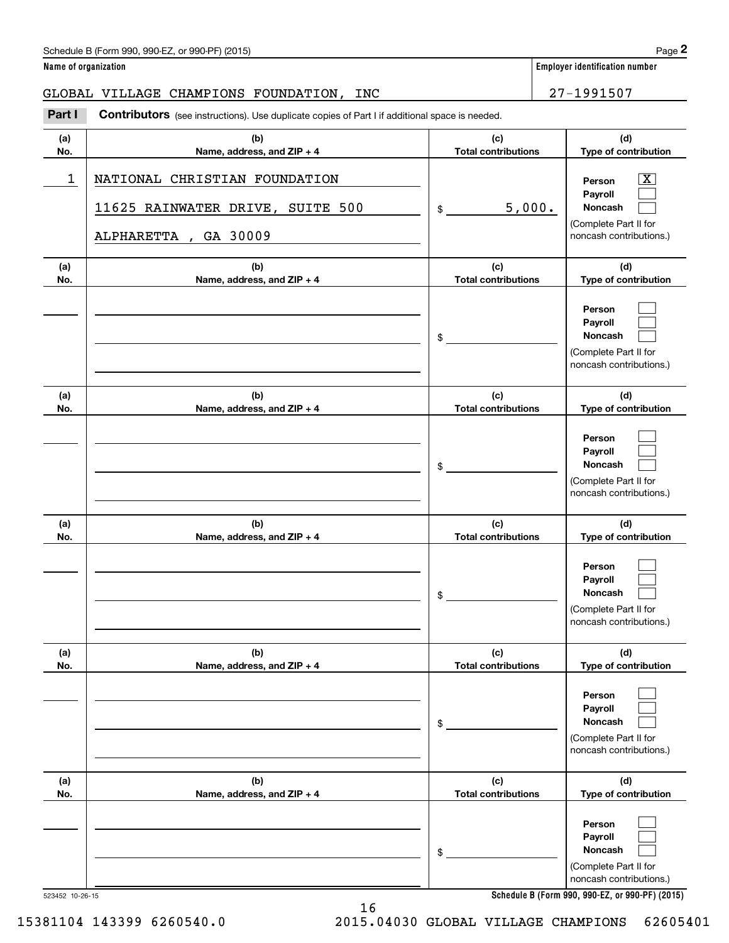## Schedule B (Form 990, 990-EZ, or 990-PF) (2015) **Page 2 Page 2 Page 2 Page 2 Page 2 Page 2 Page 2 Page 2 Page 2 Page 2 Page 2 Page 2 Page 2 Page 2 Page 2 Page 2 Page 2 Page 2 Page 2 Pa**

### GLOBAL VILLAGE CHAMPIONS FOUNDATION, INC  $\begin{array}{|c|c|c|c|c|c|}\hline \text{27--1991507} \end{array}$

|                      | Schedule B (Form 990, 990-EZ, or 990-PF) (2015)                                                                |                                   | Page 2                                                                                                      |
|----------------------|----------------------------------------------------------------------------------------------------------------|-----------------------------------|-------------------------------------------------------------------------------------------------------------|
| Name of organization |                                                                                                                |                                   | <b>Employer identification number</b>                                                                       |
|                      | GLOBAL VILLAGE CHAMPIONS FOUNDATION,<br>INC                                                                    |                                   | 27-1991507                                                                                                  |
| Part I               | <b>Contributors</b> (see instructions). Use duplicate copies of Part I if additional space is needed.          |                                   |                                                                                                             |
| (a)<br>No.           | (b)<br>Name, address, and ZIP + 4                                                                              | (c)<br><b>Total contributions</b> | (d)<br>Type of contribution                                                                                 |
| 1                    | NATIONAL CHRISTIAN FOUNDATION<br>SUITE 500<br>11625 RAINWATER DRIVE,<br>ALPHARETTA<br>GA 30009<br>$\mathbf{r}$ | 5,000.<br>\$                      | $\overline{\mathbf{X}}$<br>Person<br>Payroll<br>Noncash<br>(Complete Part II for<br>noncash contributions.) |
| (a)<br>No.           | (b)<br>Name, address, and ZIP + 4                                                                              | (c)<br><b>Total contributions</b> | (d)<br>Type of contribution                                                                                 |
|                      |                                                                                                                | \$                                | Person<br>Payroll<br>Noncash<br>(Complete Part II for<br>noncash contributions.)                            |
| (a)<br>No.           | (b)<br>Name, address, and ZIP + 4                                                                              | (c)<br><b>Total contributions</b> | (d)<br>Type of contribution                                                                                 |
|                      |                                                                                                                | \$                                | Person<br>Payroll<br>Noncash<br>(Complete Part II for<br>noncash contributions.)                            |
| (a)<br>No.           | (b)<br>Name, address, and ZIP + 4                                                                              | (c)<br><b>Total contributions</b> | (d)<br>Type of contribution                                                                                 |
|                      |                                                                                                                | \$                                | Person<br>Payroll<br>Noncash<br>(Complete Part II for<br>noncash contributions.)                            |
| (a)<br>No.           | (b)<br>Name, address, and ZIP + 4                                                                              | (c)<br><b>Total contributions</b> | (d)<br>Type of contribution                                                                                 |
|                      |                                                                                                                | \$                                | Person<br>Payroll<br>Noncash<br>(Complete Part II for<br>noncash contributions.)                            |
| (a)<br>No.           | (b)<br>Name, address, and ZIP + 4                                                                              | (c)<br><b>Total contributions</b> | (d)<br>Type of contribution                                                                                 |
|                      |                                                                                                                | \$                                | Person<br>Payroll<br>Noncash<br>(Complete Part II for<br>noncash contributions.)                            |

**Schedule B (Form 990 , 990-EZ, or 990-PF) (2015) Schedule B (Form 990, 990-EZ, or 990-PF) (2015)**

523452 10-26-15 523452 10-26-15

15381104 143399 6260540.0

16 16 2015.04030 GLOBAL VILLAGE CHAMPIONS 62605401 15381104 143399 6260540.0 2015.04030 GLOBAL VILLAGE CHAMPIONS 62605401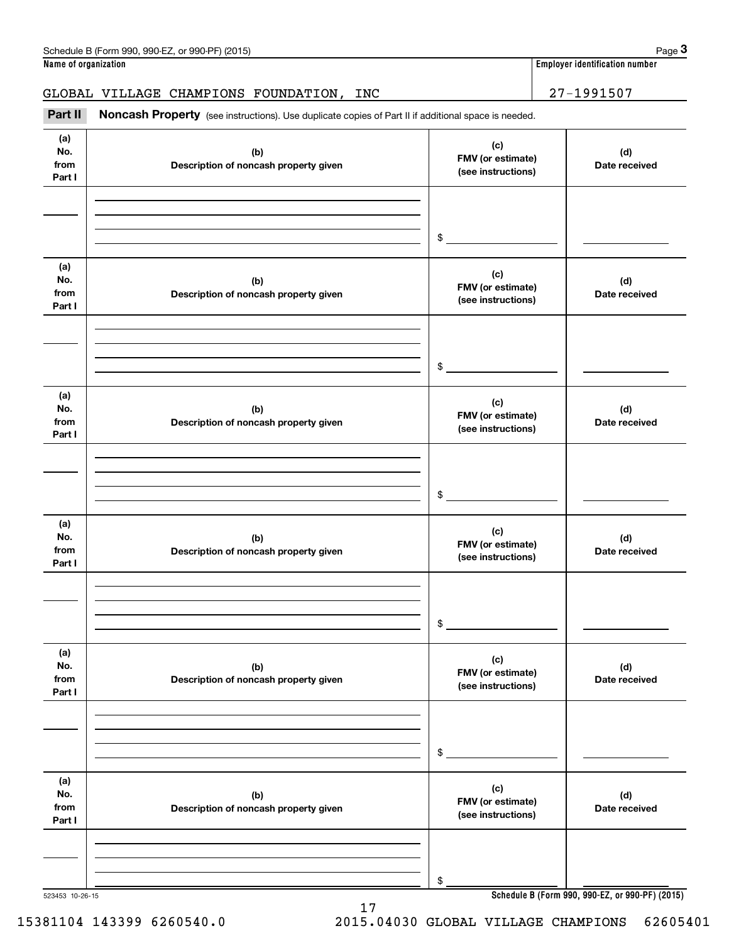GLOBAL VILLAGE CHAMPIONS FOUNDATION, INC  $\begin{array}{|c|c|c|c|c|c|}\hline \text{27--1991507} \end{array}$ Employer identification Page 3<br> **3Part II Noncash Property** (see instructions). Use duplicate copies of Part II if additional space is needed.<br> **Part II Noncash Property** (see instructions). Use duplicate copies of Par

| (a)<br>No.<br>from<br>Part I | (b)<br>Description of noncash property given | (c)<br>FMV (or estimate)<br>(see instructions) | (d)<br>Date received |
|------------------------------|----------------------------------------------|------------------------------------------------|----------------------|
|                              |                                              |                                                |                      |
|                              |                                              | \$                                             |                      |
| (a)<br>No.<br>from<br>Part I | (b)<br>Description of noncash property given | (c)<br>FMV (or estimate)<br>(see instructions) | (d)<br>Date received |
|                              |                                              |                                                |                      |
|                              |                                              | \$                                             |                      |
| (a)<br>No.<br>from<br>Part I | (b)<br>Description of noncash property given | (c)<br>FMV (or estimate)<br>(see instructions) | (d)<br>Date received |
|                              |                                              |                                                |                      |
|                              |                                              | \$                                             |                      |
| (a)<br>No.<br>from<br>Part I | (b)<br>Description of noncash property given | (c)<br>FMV (or estimate)<br>(see instructions) | (d)<br>Date received |
|                              |                                              |                                                |                      |
|                              |                                              | \$                                             |                      |
| (a)<br>No.<br>from<br>Part I | (b)<br>Description of noncash property given | (c)<br>FMV (or estimate)<br>(see instructions) | (d)<br>Date received |
|                              |                                              |                                                |                      |
|                              |                                              | \$                                             |                      |
| (a)<br>No.<br>from<br>Part I | (b)<br>Description of noncash property given | (c)<br>FMV (or estimate)<br>(see instructions) | (d)<br>Date received |
|                              |                                              |                                                |                      |
|                              |                                              | \$                                             |                      |

17 17 15381104 143399 6260540.0 2015.04030 GLOBAL VILLAGE CHAMPIONS 62605401 15381104 143399 6260540.0 2015.04030 GLOBAL VILLAGE CHAMPIONS 62605401

523453 10-26-15 **Schedule B (Form 990 , 990-EZ, or 990-PF) (2015) Schedule B (Form 990, 990-EZ, or 990-PF) (2015)**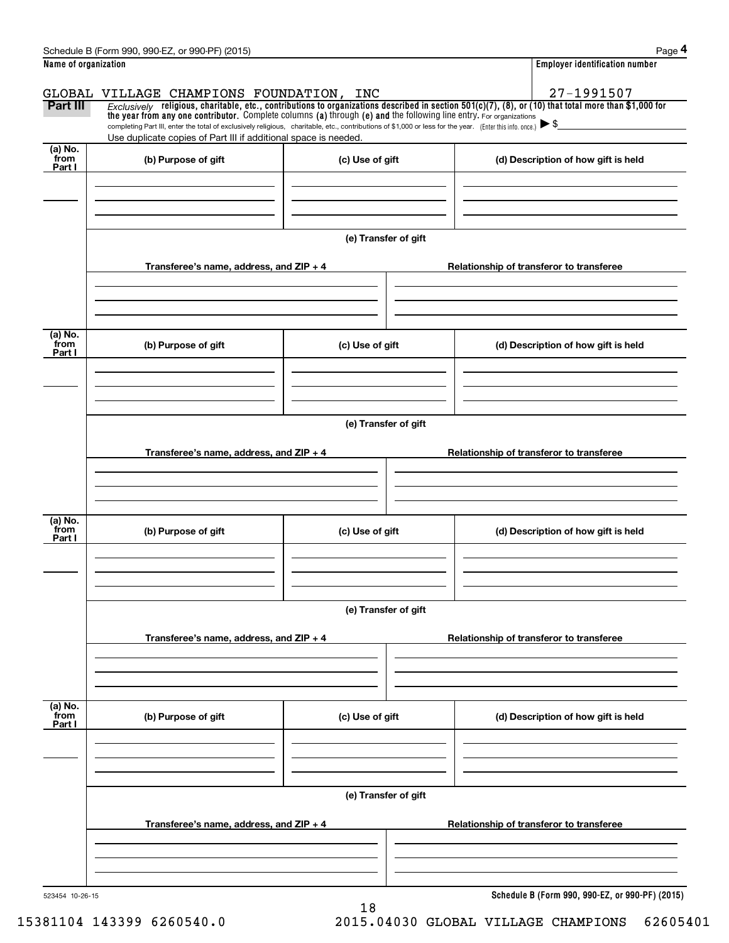|                           | Schedule B (Form 990, 990-EZ, or 990-PF) (2015)                                                                                                                                                                                                                                 |                      |  | Page 4                                   |  |  |  |  |
|---------------------------|---------------------------------------------------------------------------------------------------------------------------------------------------------------------------------------------------------------------------------------------------------------------------------|----------------------|--|------------------------------------------|--|--|--|--|
| Name of organization      |                                                                                                                                                                                                                                                                                 |                      |  | <b>Employer identification number</b>    |  |  |  |  |
|                           | GLOBAL VILLAGE CHAMPIONS FOUNDATION, INC                                                                                                                                                                                                                                        |                      |  | 27-1991507                               |  |  |  |  |
| Part III                  | Exclusively religious, charitable, etc., contributions to organizations described in section $501(c)(7)$ , (8), or (10) that total more than \$1,000 for<br>the year from any one contributor. Complete columns (a) through (e) and the following line entry. For organizations |                      |  |                                          |  |  |  |  |
|                           | completing Part III, enter the total of exclusively religious, charitable, etc., contributions of \$1,000 or less for the year. (Enter this info. once.) $\blacktriangleright$ \$<br>Use duplicate copies of Part III if additional space is needed.                            |                      |  |                                          |  |  |  |  |
| (a) No.                   |                                                                                                                                                                                                                                                                                 |                      |  |                                          |  |  |  |  |
| from<br>Part I            | (b) Purpose of gift                                                                                                                                                                                                                                                             | (c) Use of gift      |  | (d) Description of how gift is held      |  |  |  |  |
|                           |                                                                                                                                                                                                                                                                                 |                      |  |                                          |  |  |  |  |
|                           |                                                                                                                                                                                                                                                                                 |                      |  |                                          |  |  |  |  |
|                           |                                                                                                                                                                                                                                                                                 |                      |  |                                          |  |  |  |  |
|                           |                                                                                                                                                                                                                                                                                 | (e) Transfer of gift |  |                                          |  |  |  |  |
|                           | Transferee's name, address, and $ZIP + 4$                                                                                                                                                                                                                                       |                      |  | Relationship of transferor to transferee |  |  |  |  |
|                           |                                                                                                                                                                                                                                                                                 |                      |  |                                          |  |  |  |  |
|                           |                                                                                                                                                                                                                                                                                 |                      |  |                                          |  |  |  |  |
|                           |                                                                                                                                                                                                                                                                                 |                      |  |                                          |  |  |  |  |
| (a) No.<br>from           | (b) Purpose of gift                                                                                                                                                                                                                                                             | (c) Use of gift      |  | (d) Description of how gift is held      |  |  |  |  |
| Part I                    |                                                                                                                                                                                                                                                                                 |                      |  |                                          |  |  |  |  |
|                           |                                                                                                                                                                                                                                                                                 |                      |  |                                          |  |  |  |  |
|                           |                                                                                                                                                                                                                                                                                 |                      |  |                                          |  |  |  |  |
|                           | (e) Transfer of gift                                                                                                                                                                                                                                                            |                      |  |                                          |  |  |  |  |
|                           |                                                                                                                                                                                                                                                                                 |                      |  |                                          |  |  |  |  |
|                           | Transferee's name, address, and $ZIP + 4$                                                                                                                                                                                                                                       |                      |  | Relationship of transferor to transferee |  |  |  |  |
|                           |                                                                                                                                                                                                                                                                                 |                      |  |                                          |  |  |  |  |
|                           |                                                                                                                                                                                                                                                                                 |                      |  |                                          |  |  |  |  |
| (a) No.                   |                                                                                                                                                                                                                                                                                 |                      |  |                                          |  |  |  |  |
| from<br>Part I            | (b) Purpose of gift                                                                                                                                                                                                                                                             | (c) Use of gift      |  | (d) Description of how gift is held      |  |  |  |  |
|                           |                                                                                                                                                                                                                                                                                 |                      |  |                                          |  |  |  |  |
|                           |                                                                                                                                                                                                                                                                                 |                      |  |                                          |  |  |  |  |
|                           |                                                                                                                                                                                                                                                                                 |                      |  |                                          |  |  |  |  |
|                           |                                                                                                                                                                                                                                                                                 | (e) Transfer of gift |  |                                          |  |  |  |  |
|                           | Transferee's name, address, and ZIP + 4                                                                                                                                                                                                                                         |                      |  | Relationship of transferor to transferee |  |  |  |  |
|                           |                                                                                                                                                                                                                                                                                 |                      |  |                                          |  |  |  |  |
|                           |                                                                                                                                                                                                                                                                                 |                      |  |                                          |  |  |  |  |
|                           |                                                                                                                                                                                                                                                                                 |                      |  |                                          |  |  |  |  |
| (a) No.<br>from<br>Part I | (b) Purpose of gift                                                                                                                                                                                                                                                             | (c) Use of gift      |  | (d) Description of how gift is held      |  |  |  |  |
|                           |                                                                                                                                                                                                                                                                                 |                      |  |                                          |  |  |  |  |
|                           |                                                                                                                                                                                                                                                                                 |                      |  |                                          |  |  |  |  |
|                           |                                                                                                                                                                                                                                                                                 |                      |  |                                          |  |  |  |  |
|                           |                                                                                                                                                                                                                                                                                 | (e) Transfer of gift |  |                                          |  |  |  |  |
|                           | Transferee's name, address, and ZIP + 4                                                                                                                                                                                                                                         |                      |  | Relationship of transferor to transferee |  |  |  |  |
|                           |                                                                                                                                                                                                                                                                                 |                      |  |                                          |  |  |  |  |
|                           |                                                                                                                                                                                                                                                                                 |                      |  |                                          |  |  |  |  |
|                           |                                                                                                                                                                                                                                                                                 |                      |  |                                          |  |  |  |  |
|                           |                                                                                                                                                                                                                                                                                 |                      |  |                                          |  |  |  |  |

18 18

523454 10-26-15 **Schedule B (Form 990 , 990-EZ, or 990-PF) (2015) Schedule B (Form 990, 990-EZ, or 990-PF) (2015)**

15381104 143399 6260540.0 2015.04030 GLOBAL VILLAGE CHAMPIONS 62605401 15381104 143399 6260540.0 2015.04030 GLOBAL VILLAGE CHAMPIONS 62605401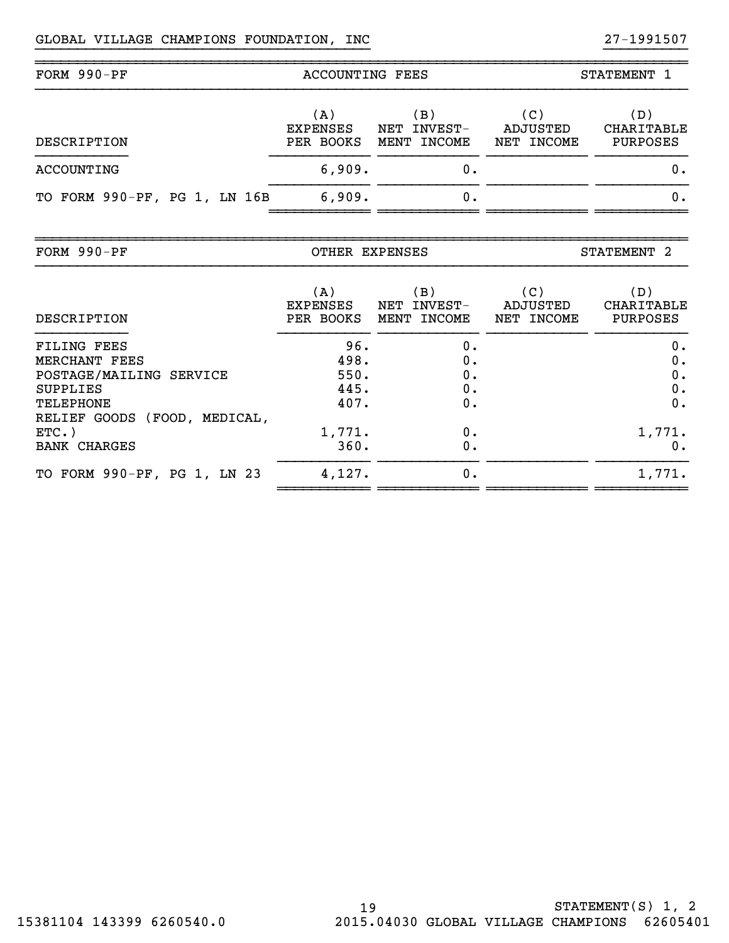~ ~ ~ ~ ~ ~ ~ ~ ~ ~ ~ ~ ~ ~ ~ ~ ~ ~ ~ ~ ~ ~ ~ ~ ~ ~ ~ ~ ~ ~ ~ ~ ~ ~ ~ ~ ~ ~ ~ ~ ~ ~ ~ ~ ~ ~ ~

~ ~ ~ ~ ~ ~ ~ ~ ~ ~ ~ ~ ~

| FORM 990-PF                  | ACCOUNTING FEES                     |                                                | STATEMENT 1                   |                                      |  |
|------------------------------|-------------------------------------|------------------------------------------------|-------------------------------|--------------------------------------|--|
| DESCRIPTION                  | (A)<br><b>EXPENSES</b><br>PER BOOKS | $\mathbf B$ )<br>INVEST-<br>NET<br>MENT INCOME | (C)<br>ADJUSTED<br>NET INCOME | (D)<br>CHARITABLE<br><b>PURPOSES</b> |  |
| ACCOUNTING                   | 6,909.                              | 0.                                             |                               | О.                                   |  |
| TO FORM 990-PF, PG 1, LN 16B | 6,909.                              | 0.                                             |                               | О.                                   |  |
|                              |                                     |                                                |                               |                                      |  |

}}}}}}}}}}}}}}}}}}}}}}}}}}}}}}}}}}}}}}}} }}}}}}}}}} ~~~~~~~~~~~~~~~~~~~~~~~~~~~~~~~~~~~~~~~~~~~~~~~~~~~~~~~~~~~~~~~~~~~~~~~~~~~~~~

| FORM $990-PF$ | OTHER EXPENSES | <b>STATEMENT</b> |
|---------------|----------------|------------------|
|---------------|----------------|------------------|

~~~~~~~~~~~~~~~~~~~~~~~~~~~~~~~~~~~~~~~~~~~~~~~~~~~~~~~~~~~~~~~~~~~~~~~~~~~~~~

| DESCRIPTION                                                         | (A)<br><b>EXPENSES</b><br>PER BOOKS | (B)<br>INVEST-<br>NET<br>INCOME<br>MENT | (C)<br>ADJUSTED<br>NET INCOME | (D)<br>CHARITABLE<br><b>PURPOSES</b> |
|---------------------------------------------------------------------|-------------------------------------|-----------------------------------------|-------------------------------|--------------------------------------|
| FILING FEES<br>MERCHANT FEES<br>POSTAGE/MAILING SERVICE             | 96.<br>498.<br>550.                 | 0.<br>0.<br>0.                          |                               | 0.<br>0.<br>0.                       |
| <b>SUPPLIES</b><br><b>TELEPHONE</b><br>RELIEF GOODS (FOOD, MEDICAL, | 445.<br>407.                        | 0.<br>0.                                |                               | 0.<br>0.                             |
| $ETC.$ )<br><b>BANK CHARGES</b>                                     | 1,771.<br>360.                      | 0.<br>0.                                |                               | 1,771.<br>0.                         |
| TO FORM 990-PF, PG 1, LN 23                                         | 4,127.                              | 0.                                      |                               | 1,771.                               |